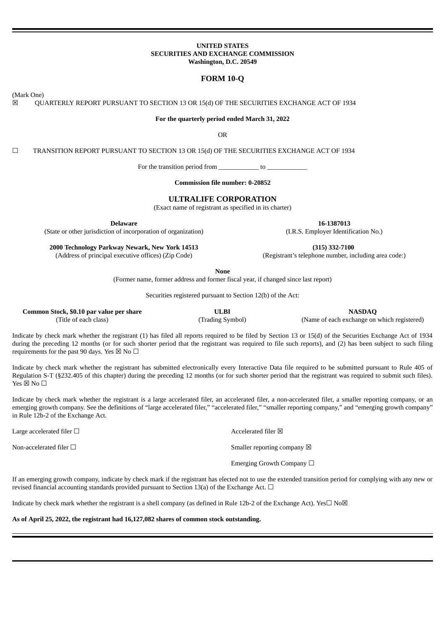### **UNITED STATES SECURITIES AND EXCHANGE COMMISSION Washington, D.C. 20549**

# **FORM 10-Q**

(Mark One)

☒ QUARTERLY REPORT PURSUANT TO SECTION 13 OR 15(d) OF THE SECURITIES EXCHANGE ACT OF 1934

#### **For the quarterly period ended March 31, 2022**

OR

☐ TRANSITION REPORT PURSUANT TO SECTION 13 OR 15(d) OF THE SECURITIES EXCHANGE ACT OF 1934

For the transition period from \_\_\_\_\_\_\_\_\_\_\_\_ to \_\_\_\_\_\_\_\_\_\_\_\_

**Commission file number: 0-20852**

#### **ULTRALIFE CORPORATION**

(Exact name of registrant as specified in its charter)

**Delaware** (State or other jurisdiction of incorporation of organization)

**16-1387013** (I.R.S. Employer Identification No.)

**2000 Technology Parkway Newark, New York 14513** (Address of principal executive offices) (Zip Code)

**(315) 332-7100** (Registrant's telephone number, including area code:)

**None**

(Former name, former address and former fiscal year, if changed since last report)

Securities registered pursuant to Section 12(b) of the Act:

| Common Stock, \$0.10 par value per share | ULBI             | <b>NASDAO</b>                               |
|------------------------------------------|------------------|---------------------------------------------|
| (Title of each class)                    | (Trading Symbol) | (Name of each exchange on which registered) |

Indicate by check mark whether the registrant (1) has filed all reports required to be filed by Section 13 or 15(d) of the Securities Exchange Act of 1934 during the preceding 12 months (or for such shorter period that the registrant was required to file such reports), and (2) has been subject to such filing requirements for the past 90 days. Yes  $\boxtimes$  No  $\Box$ 

Indicate by check mark whether the registrant has submitted electronically every Interactive Data file required to be submitted pursuant to Rule 405 of Regulation S-T (§232.405 of this chapter) during the preceding 12 months (or for such shorter period that the registrant was required to submit such files).  $Yes \boxtimes No \square$ 

Indicate by check mark whether the registrant is a large accelerated filer, an accelerated filer, a non-accelerated filer, a smaller reporting company, or an emerging growth company. See the definitions of "large accelerated filer," "accelerated filer," "smaller reporting company," and "emerging growth company" in Rule 12b-2 of the Exchange Act.

Large accelerated filer  $\Box$ 

Non-accelerated filer □ <br>
Smaller reporting company ⊠

If an emerging growth company, indicate by check mark if the registrant has elected not to use the extended transition period for complying with any new or revised financial accounting standards provided pursuant to Section 13(a) of the Exchange Act.  $\Box$ 

Indicate by check mark whether the registrant is a shell company (as defined in Rule 12b-2 of the Exchange Act). Yes $\Box$  No $\boxtimes$ 

**As of April 25, 2022, the registrant had 16,127,082 shares of common stock outstanding.**

Emerging Growth Company □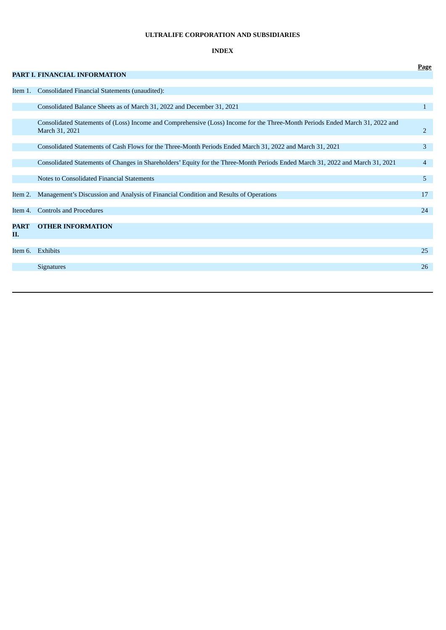# **ULTRALIFE CORPORATION AND SUBSIDIARIES**

# **INDEX**

|             |                                                                                                                                                 | Page           |
|-------------|-------------------------------------------------------------------------------------------------------------------------------------------------|----------------|
|             | PART I. FINANCIAL INFORMATION                                                                                                                   |                |
|             |                                                                                                                                                 |                |
| Item 1.     | Consolidated Financial Statements (unaudited):                                                                                                  |                |
|             |                                                                                                                                                 |                |
|             | Consolidated Balance Sheets as of March 31, 2022 and December 31, 2021                                                                          | $\mathbf{1}$   |
|             |                                                                                                                                                 |                |
|             | Consolidated Statements of (Loss) Income and Comprehensive (Loss) Income for the Three-Month Periods Ended March 31, 2022 and<br>March 31, 2021 | $\overline{2}$ |
|             |                                                                                                                                                 |                |
|             | Consolidated Statements of Cash Flows for the Three-Month Periods Ended March 31, 2022 and March 31, 2021                                       | 3              |
|             |                                                                                                                                                 |                |
|             | Consolidated Statements of Changes in Shareholders' Equity for the Three-Month Periods Ended March 31, 2022 and March 31, 2021                  | $\overline{4}$ |
|             | Notes to Consolidated Financial Statements                                                                                                      | 5              |
|             |                                                                                                                                                 |                |
| Item 2.     | Management's Discussion and Analysis of Financial Condition and Results of Operations                                                           | 17             |
|             |                                                                                                                                                 |                |
| Item 4.     | <b>Controls and Procedures</b>                                                                                                                  | 24             |
|             |                                                                                                                                                 |                |
| <b>PART</b> | <b>OTHER INFORMATION</b>                                                                                                                        |                |
| П.          |                                                                                                                                                 |                |
|             |                                                                                                                                                 |                |
| Item 6.     | Exhibits                                                                                                                                        | 25             |
|             |                                                                                                                                                 |                |
|             | <b>Signatures</b>                                                                                                                               | 26             |
|             |                                                                                                                                                 |                |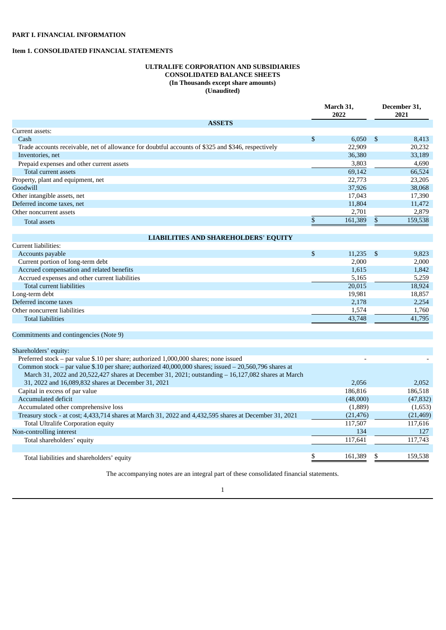# **Item 1. CONSOLIDATED FINANCIAL STATEMENTS**

## **ULTRALIFE CORPORATION AND SUBSIDIARIES CONSOLIDATED BALANCE SHEETS (In Thousands except share amounts) (Unaudited)**

|                                                                                                                                                            | March 31,<br>2022 |           |                | December 31,<br>2021 |
|------------------------------------------------------------------------------------------------------------------------------------------------------------|-------------------|-----------|----------------|----------------------|
| <b>ASSETS</b>                                                                                                                                              |                   |           |                |                      |
| Current assets:                                                                                                                                            |                   |           |                |                      |
| Cash                                                                                                                                                       | \$                | 6,050     | $\mathfrak{S}$ | 8,413                |
| Trade accounts receivable, net of allowance for doubtful accounts of \$325 and \$346, respectively                                                         |                   | 22,909    |                | 20,232               |
| Inventories, net                                                                                                                                           |                   | 36,380    |                | 33,189               |
| Prepaid expenses and other current assets                                                                                                                  |                   | 3,803     |                | 4,690                |
| Total current assets                                                                                                                                       |                   | 69,142    |                | 66,524               |
| Property, plant and equipment, net                                                                                                                         |                   | 22,773    |                | 23.205               |
| Goodwill                                                                                                                                                   |                   | 37,926    |                | 38,068               |
| Other intangible assets, net                                                                                                                               |                   | 17,043    |                | 17,390               |
| Deferred income taxes, net                                                                                                                                 |                   | 11,804    |                | 11,472               |
| Other noncurrent assets                                                                                                                                    |                   | 2,701     |                | 2,879                |
| Total assets                                                                                                                                               | \$                | 161,389   | $\mathfrak{S}$ | 159,538              |
| <b>LIABILITIES AND SHAREHOLDERS' EQUITY</b>                                                                                                                |                   |           |                |                      |
| Current liabilities:                                                                                                                                       |                   |           |                |                      |
| Accounts payable                                                                                                                                           | $\mathbb{S}$      | 11,235    | \$             | 9,823                |
| Current portion of long-term debt                                                                                                                          |                   | 2,000     |                | 2,000                |
| Accrued compensation and related benefits                                                                                                                  |                   | 1,615     |                | 1,842                |
| Accrued expenses and other current liabilities                                                                                                             |                   | 5,165     |                | 5,259                |
| Total current liabilities                                                                                                                                  |                   | 20,015    |                | 18,924               |
| Long-term debt                                                                                                                                             |                   | 19,981    |                | 18,857               |
| Deferred income taxes                                                                                                                                      |                   | 2,178     |                | 2,254                |
| Other noncurrent liabilities                                                                                                                               |                   | 1,574     |                | 1,760                |
| <b>Total liabilities</b>                                                                                                                                   |                   | 43,748    |                | 41,795               |
| Commitments and contingencies (Note 9)                                                                                                                     |                   |           |                |                      |
| Shareholders' equity:                                                                                                                                      |                   |           |                |                      |
| Preferred stock - par value \$.10 per share; authorized 1,000,000 shares; none issued                                                                      |                   |           |                |                      |
| Common stock – par value \$.10 per share; authorized 40,000,000 shares; issued – 20,560,796 shares at                                                      |                   |           |                |                      |
| March 31, 2022 and 20,522,427 shares at December 31, 2021; outstanding - 16,127,082 shares at March<br>31, 2022 and 16,089,832 shares at December 31, 2021 |                   | 2,056     |                | 2,052                |
| Capital in excess of par value                                                                                                                             |                   | 186,816   |                | 186,518              |
| Accumulated deficit                                                                                                                                        |                   | (48,000)  |                | (47, 832)            |
| Accumulated other comprehensive loss                                                                                                                       |                   | (1,889)   |                | (1,653)              |
|                                                                                                                                                            |                   | (21, 476) |                | (21, 469)            |
| Treasury stock - at cost; 4,433,714 shares at March 31, 2022 and 4,432,595 shares at December 31, 2021<br>Total Ultralife Corporation equity               |                   | 117,507   |                | 117,616              |
|                                                                                                                                                            |                   | 134       |                | 127                  |
| Non-controlling interest                                                                                                                                   |                   | 117,641   |                | 117,743              |
| Total shareholders' equity                                                                                                                                 |                   |           |                |                      |
| Total liabilities and shareholders' equity                                                                                                                 | \$                | 161,389   | \$             | 159,538              |

The accompanying notes are an integral part of these consolidated financial statements.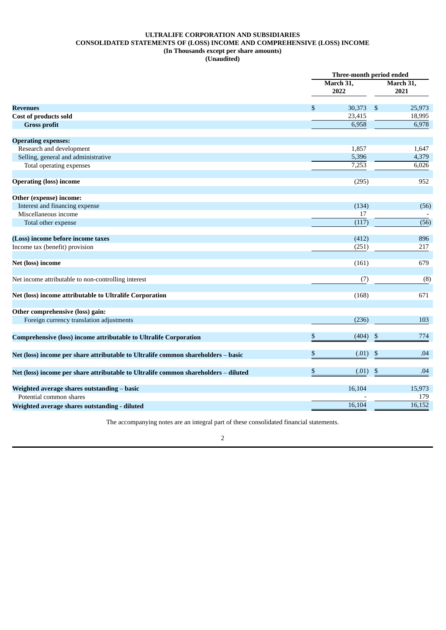# **ULTRALIFE CORPORATION AND SUBSIDIARIES CONSOLIDATED STATEMENTS OF (LOSS) INCOME AND COMPREHENSIVE (LOSS) INCOME (In Thousands except per share amounts)**

|                                                                                     | Three-month period ended |                   |                           |        |  |
|-------------------------------------------------------------------------------------|--------------------------|-------------------|---------------------------|--------|--|
|                                                                                     |                          | March 31,<br>2022 |                           |        |  |
| <b>Revenues</b>                                                                     | \$                       | 30,373            | \$                        | 25,973 |  |
| Cost of products sold                                                               |                          | 23,415            |                           | 18,995 |  |
| <b>Gross profit</b>                                                                 |                          | 6,958             |                           | 6,978  |  |
| <b>Operating expenses:</b>                                                          |                          |                   |                           |        |  |
| Research and development                                                            |                          | 1,857             |                           | 1,647  |  |
| Selling, general and administrative                                                 |                          | 5,396             |                           | 4,379  |  |
| Total operating expenses                                                            |                          | 7,253             |                           | 6,026  |  |
| <b>Operating (loss) income</b>                                                      |                          | (295)             |                           | 952    |  |
| Other (expense) income:                                                             |                          |                   |                           |        |  |
| Interest and financing expense                                                      |                          | (134)             |                           | (56)   |  |
| Miscellaneous income                                                                |                          | 17                |                           |        |  |
| Total other expense                                                                 |                          | (117)             |                           | (56)   |  |
| (Loss) income before income taxes                                                   |                          | (412)             |                           | 896    |  |
| Income tax (benefit) provision                                                      |                          | (251)             |                           | 217    |  |
| Net (loss) income                                                                   |                          | (161)             |                           | 679    |  |
| Net income attributable to non-controlling interest                                 |                          | (7)               |                           | (8)    |  |
| Net (loss) income attributable to Ultralife Corporation                             |                          | (168)             |                           | 671    |  |
| Other comprehensive (loss) gain:                                                    |                          |                   |                           |        |  |
| Foreign currency translation adjustments                                            |                          | (236)             |                           | 103    |  |
| <b>Comprehensive (loss) income attributable to Ultralife Corporation</b>            | \$                       | (404)             | $\mathfrak{F}$            | 774    |  |
| Net (loss) income per share attributable to Ultralife common shareholders - basic   | \$                       | (.01)             | $\boldsymbol{\mathsf{S}}$ | .04    |  |
| Net (loss) income per share attributable to Ultralife common shareholders - diluted | \$                       | (.01)             | $\mathfrak{s}$            | .04    |  |
| Weighted average shares outstanding - basic                                         |                          | 16,104            |                           | 15,973 |  |
| Potential common shares                                                             |                          |                   |                           | 179    |  |
| Weighted average shares outstanding - diluted                                       |                          | 16,104            |                           | 16,152 |  |

The accompanying notes are an integral part of these consolidated financial statements.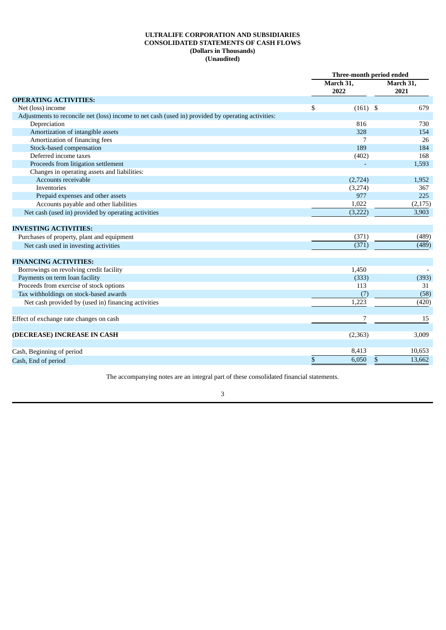# **ULTRALIFE CORPORATION AND SUBSIDIARIES CONSOLIDATED STATEMENTS OF CASH FLOWS (Dollars in Thousands) (Unaudited)**

|                                                                                                    | Three-month period ended |                   |                   |          |  |
|----------------------------------------------------------------------------------------------------|--------------------------|-------------------|-------------------|----------|--|
|                                                                                                    |                          | March 31,<br>2022 | March 31,<br>2021 |          |  |
| <b>OPERATING ACTIVITIES:</b>                                                                       |                          |                   |                   |          |  |
| Net (loss) income                                                                                  | \$                       | $(161)$ \$        |                   | 679      |  |
| Adjustments to reconcile net (loss) income to net cash (used in) provided by operating activities: |                          |                   |                   |          |  |
| Depreciation                                                                                       |                          | 816               |                   | 730      |  |
| Amortization of intangible assets                                                                  |                          | 328               |                   | 154      |  |
| Amortization of financing fees                                                                     |                          |                   |                   | 26       |  |
| Stock-based compensation                                                                           |                          | 189               |                   | 184      |  |
| Deferred income taxes                                                                              |                          | (402)             |                   | 168      |  |
| Proceeds from litigation settlement                                                                |                          |                   |                   | 1,593    |  |
| Changes in operating assets and liabilities:                                                       |                          |                   |                   |          |  |
| Accounts receivable                                                                                |                          | (2, 724)          |                   | 1,952    |  |
| <b>Inventories</b>                                                                                 |                          | (3,274)           |                   | 367      |  |
| Prepaid expenses and other assets                                                                  |                          | 977               |                   | 225      |  |
| Accounts payable and other liabilities                                                             |                          | 1,022             |                   | (2, 175) |  |
| Net cash (used in) provided by operating activities                                                |                          | (3,222)           |                   | 3,903    |  |
| <b>INVESTING ACTIVITIES:</b>                                                                       |                          |                   |                   |          |  |
| Purchases of property, plant and equipment                                                         |                          | (371)             |                   | (489)    |  |
| Net cash used in investing activities                                                              |                          | (371)             |                   | (489)    |  |
| <b>FINANCING ACTIVITIES:</b>                                                                       |                          |                   |                   |          |  |
| Borrowings on revolving credit facility                                                            |                          | 1,450             |                   |          |  |
| Payments on term loan facility                                                                     |                          | (333)             |                   | (393)    |  |
| Proceeds from exercise of stock options                                                            |                          | 113               |                   | 31       |  |
| Tax withholdings on stock-based awards                                                             |                          | (7)               |                   | (58)     |  |
| Net cash provided by (used in) financing activities                                                |                          | 1,223             |                   | (420)    |  |
| Effect of exchange rate changes on cash                                                            |                          | 7                 |                   | 15       |  |
|                                                                                                    |                          |                   |                   |          |  |
| (DECREASE) INCREASE IN CASH                                                                        |                          | (2,363)           |                   | 3,009    |  |
| Cash, Beginning of period                                                                          |                          | 8,413             |                   | 10,653   |  |
| Cash, End of period                                                                                | \$                       | 6,050             | $\mathbb{S}$      | 13,662   |  |

The accompanying notes are an integral part of these consolidated financial statements.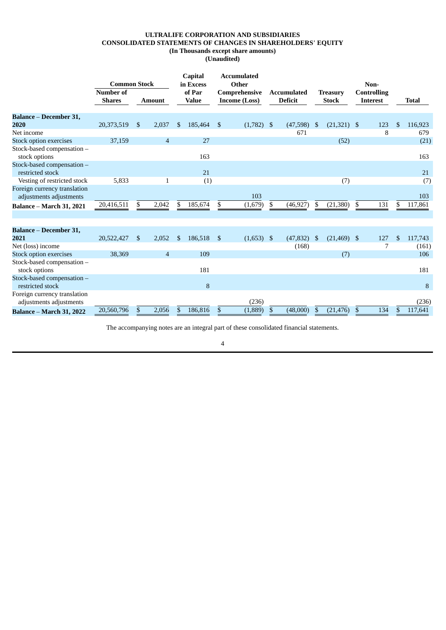### **ULTRALIFE CORPORATION AND SUBSIDIARIES CONSOLIDATED STATEMENTS OF CHANGES IN SHAREHOLDERS**' **EQUITY (In Thousands except share amounts) (Unaudited)**

|                                                         | <b>Common Stock</b><br>Number of |                | Capital<br>in Excess<br>of Par |      | <b>Accumulated</b><br>Other           |     | <b>Accumulated</b> |     |                                 | Non-                                  |    |              |
|---------------------------------------------------------|----------------------------------|----------------|--------------------------------|------|---------------------------------------|-----|--------------------|-----|---------------------------------|---------------------------------------|----|--------------|
|                                                         | <b>Shares</b>                    | <b>Amount</b>  | <b>Value</b>                   |      | Comprehensive<br><b>Income (Loss)</b> |     | <b>Deficit</b>     |     | <b>Treasury</b><br><b>Stock</b> | <b>Controlling</b><br><b>Interest</b> |    | <b>Total</b> |
| <b>Balance – December 31,</b><br>2020                   | 20,373,519                       | \$<br>2,037    | \$<br>185,464                  | \$   | $(1,782)$ \$                          |     | (47,598)           | -\$ | $(21,321)$ \$                   | 123                                   | \$ | 116,923      |
| Net income                                              |                                  |                |                                |      |                                       |     | 671                |     |                                 | 8                                     |    | 679          |
| <b>Stock option exercises</b>                           | 37,159                           | $\overline{4}$ | 27                             |      |                                       |     |                    |     | (52)                            |                                       |    | (21)         |
| Stock-based compensation -<br>stock options             |                                  |                | 163                            |      |                                       |     |                    |     |                                 |                                       |    | 163          |
| Stock-based compensation -<br>restricted stock          |                                  |                | 21                             |      |                                       |     |                    |     |                                 |                                       |    | 21           |
| Vesting of restricted stock                             | 5,833                            | 1              | (1)                            |      |                                       |     |                    |     | (7)                             |                                       |    | (7)          |
| Foreign currency translation<br>adjustments adjustments |                                  |                |                                |      | 103                                   |     |                    |     |                                 |                                       |    | 103          |
| <b>Balance - March 31, 2021</b>                         | 20,416,511                       | \$<br>2,042    | \$<br>185,674                  | \$   | (1,679)                               | \$  | (46, 927)          | \$  | (21, 380)                       | \$<br>131                             | \$ | 117,861      |
|                                                         |                                  |                |                                |      |                                       |     |                    |     |                                 |                                       |    |              |
| <b>Balance – December 31,</b><br>2021                   | 20,522,427                       | \$<br>2,052    | \$<br>186,518                  | - \$ | $(1,653)$ \$                          |     | (47, 832)          | \$  | $(21,469)$ \$                   | 127                                   | \$ | 117,743      |
| Net (loss) income                                       |                                  |                |                                |      |                                       |     | (168)              |     |                                 | 7                                     |    | (161)        |
| <b>Stock option exercises</b>                           | 38,369                           | $\overline{4}$ | 109                            |      |                                       |     |                    |     | (7)                             |                                       |    | 106          |
| Stock-based compensation -<br>stock options             |                                  |                | 181                            |      |                                       |     |                    |     |                                 |                                       |    | 181          |
| Stock-based compensation -<br>restricted stock          |                                  |                | 8                              |      |                                       |     |                    |     |                                 |                                       |    | 8            |
| Foreign currency translation<br>adjustments adjustments |                                  |                |                                |      | (236)                                 |     |                    |     |                                 |                                       |    | (236)        |
| <b>Balance - March 31, 2022</b>                         | 20,560,796                       | \$<br>2,056    | \$<br>186,816                  | \$   | (1,889)                               | \$. | (48,000)           | \$  | (21, 476)                       | \$<br>134                             | \$ | 117,641      |

The accompanying notes are an integral part of these consolidated financial statements.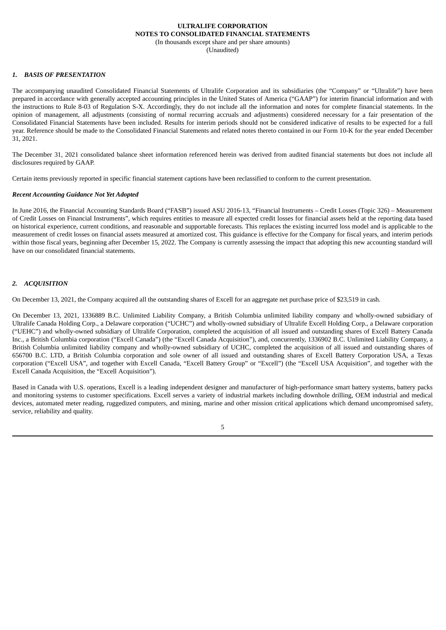### **ULTRALIFE CORPORATION NOTES TO CONSOLIDATED FINANCIAL STATEMENTS** (In thousands except share and per share amounts)

(Unaudited)

### *1. BASIS OF PRESENTATION*

The accompanying unaudited Consolidated Financial Statements of Ultralife Corporation and its subsidiaries (the "Company" or "Ultralife") have been prepared in accordance with generally accepted accounting principles in the United States of America ("GAAP") for interim financial information and with the instructions to Rule 8-03 of Regulation S-X. Accordingly, they do not include all the information and notes for complete financial statements. In the opinion of management, all adjustments (consisting of normal recurring accruals and adjustments) considered necessary for a fair presentation of the Consolidated Financial Statements have been included. Results for interim periods should not be considered indicative of results to be expected for a full year. Reference should be made to the Consolidated Financial Statements and related notes thereto contained in our Form 10-K for the year ended December 31, 2021.

The December 31, 2021 consolidated balance sheet information referenced herein was derived from audited financial statements but does not include all disclosures required by GAAP.

Certain items previously reported in specific financial statement captions have been reclassified to conform to the current presentation.

### *Recent Accounting Guidance Not Yet Adopted*

In June 2016, the Financial Accounting Standards Board ("FASB") issued ASU 2016-13, "Financial Instruments – Credit Losses (Topic 326) – Measurement of Credit Losses on Financial Instruments", which requires entities to measure all expected credit losses for financial assets held at the reporting data based on historical experience, current conditions, and reasonable and supportable forecasts. This replaces the existing incurred loss model and is applicable to the measurement of credit losses on financial assets measured at amortized cost. This guidance is effective for the Company for fiscal years, and interim periods within those fiscal years, beginning after December 15, 2022. The Company is currently assessing the impact that adopting this new accounting standard will have on our consolidated financial statements.

## *2. ACQUISITION*

On December 13, 2021, the Company acquired all the outstanding shares of Excell for an aggregate net purchase price of \$23,519 in cash.

On December 13, 2021, 1336889 B.C. Unlimited Liability Company, a British Columbia unlimited liability company and wholly-owned subsidiary of Ultralife Canada Holding Corp., a Delaware corporation ("UCHC") and wholly-owned subsidiary of Ultralife Excell Holding Corp., a Delaware corporation ("UEHC") and wholly-owned subsidiary of Ultralife Corporation, completed the acquisition of all issued and outstanding shares of Excell Battery Canada Inc., a British Columbia corporation ("Excell Canada") (the "Excell Canada Acquisition"), and, concurrently, 1336902 B.C. Unlimited Liability Company, a British Columbia unlimited liability company and wholly-owned subsidiary of UCHC, completed the acquisition of all issued and outstanding shares of 656700 B.C. LTD, a British Columbia corporation and sole owner of all issued and outstanding shares of Excell Battery Corporation USA, a Texas corporation ("Excell USA", and together with Excell Canada, "Excell Battery Group" or "Excell") (the "Excell USA Acquisition", and together with the Excell Canada Acquisition, the "Excell Acquisition").

Based in Canada with U.S. operations, Excell is a leading independent designer and manufacturer of high-performance smart battery systems, battery packs and monitoring systems to customer specifications. Excell serves a variety of industrial markets including downhole drilling, OEM industrial and medical devices, automated meter reading, ruggedized computers, and mining, marine and other mission critical applications which demand uncompromised safety, service, reliability and quality.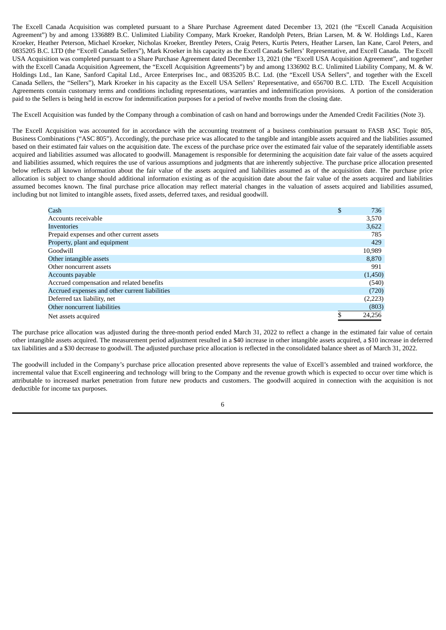The Excell Canada Acquisition was completed pursuant to a Share Purchase Agreement dated December 13, 2021 (the "Excell Canada Acquisition Agreement") by and among 1336889 B.C. Unlimited Liability Company, Mark Kroeker, Randolph Peters, Brian Larsen, M. & W. Holdings Ltd., Karen Kroeker, Heather Peterson, Michael Kroeker, Nicholas Kroeker, Brentley Peters, Craig Peters, Kurtis Peters, Heather Larsen, Ian Kane, Carol Peters, and 0835205 B.C. LTD (the "Excell Canada Sellers"), Mark Kroeker in his capacity as the Excell Canada Sellers' Representative, and Excell Canada. The Excell USA Acquisition was completed pursuant to a Share Purchase Agreement dated December 13, 2021 (the "Excell USA Acquisition Agreement", and together with the Excell Canada Acquisition Agreement, the "Excell Acquisition Agreements") by and among 1336902 B.C. Unlimited Liability Company, M. & W. Holdings Ltd., Ian Kane, Sanford Capital Ltd., Arcee Enterprises Inc., and 0835205 B.C. Ltd. (the "Excell USA Sellers", and together with the Excell Canada Sellers, the "Sellers"), Mark Kroeker in his capacity as the Excell USA Sellers' Representative, and 656700 B.C. LTD. The Excell Acquisition Agreements contain customary terms and conditions including representations, warranties and indemnification provisions. A portion of the consideration paid to the Sellers is being held in escrow for indemnification purposes for a period of twelve months from the closing date.

The Excell Acquisition was funded by the Company through a combination of cash on hand and borrowings under the Amended Credit Facilities (Note 3).

The Excell Acquisition was accounted for in accordance with the accounting treatment of a business combination pursuant to FASB ASC Topic 805, Business Combinations ("ASC 805"). Accordingly, the purchase price was allocated to the tangible and intangible assets acquired and the liabilities assumed based on their estimated fair values on the acquisition date. The excess of the purchase price over the estimated fair value of the separately identifiable assets acquired and liabilities assumed was allocated to goodwill. Management is responsible for determining the acquisition date fair value of the assets acquired and liabilities assumed, which requires the use of various assumptions and judgments that are inherently subjective. The purchase price allocation presented below reflects all known information about the fair value of the assets acquired and liabilities assumed as of the acquisition date. The purchase price allocation is subject to change should additional information existing as of the acquisition date about the fair value of the assets acquired and liabilities assumed becomes known. The final purchase price allocation may reflect material changes in the valuation of assets acquired and liabilities assumed, including but not limited to intangible assets, fixed assets, deferred taxes, and residual goodwill.

| Cash                                           | \$<br>736 |
|------------------------------------------------|-----------|
| Accounts receivable                            | 3,570     |
| <b>Inventories</b>                             | 3,622     |
| Prepaid expenses and other current assets      | 785       |
| Property, plant and equipment                  | 429       |
| Goodwill                                       | 10,989    |
| Other intangible assets                        | 8,870     |
| Other noncurrent assets                        | 991       |
| Accounts payable                               | (1,450)   |
| Accrued compensation and related benefits      | (540)     |
| Accrued expenses and other current liabilities | (720)     |
| Deferred tax liability, net                    | (2,223)   |
| Other noncurrent liabilities                   | (803)     |
| Net assets acquired                            | 24,256    |

The purchase price allocation was adjusted during the three-month period ended March 31, 2022 to reflect a change in the estimated fair value of certain other intangible assets acquired. The measurement period adjustment resulted in a \$40 increase in other intangible assets acquired, a \$10 increase in deferred tax liabilities and a \$30 decrease to goodwill. The adjusted purchase price allocation is reflected in the consolidated balance sheet as of March 31, 2022.

The goodwill included in the Company's purchase price allocation presented above represents the value of Excell's assembled and trained workforce, the incremental value that Excell engineering and technology will bring to the Company and the revenue growth which is expected to occur over time which is attributable to increased market penetration from future new products and customers. The goodwill acquired in connection with the acquisition is not deductible for income tax purposes.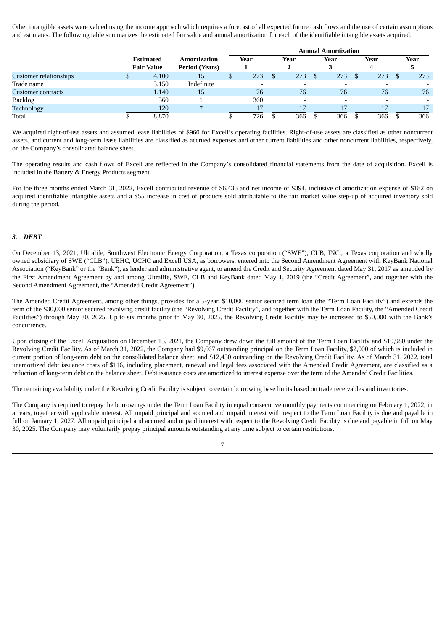Other intangible assets were valued using the income approach which requires a forecast of all expected future cash flows and the use of certain assumptions and estimates. The following table summarizes the estimated fair value and annual amortization for each of the identifiable intangible assets acquired.

|                        |   | <b>Annual Amortization</b> |                       |  |                          |  |                          |      |                          |      |     |  |      |  |
|------------------------|---|----------------------------|-----------------------|--|--------------------------|--|--------------------------|------|--------------------------|------|-----|--|------|--|
|                        |   | <b>Estimated</b>           | Amortization          |  | Year<br>Year             |  |                          | Year |                          | Year |     |  | Year |  |
|                        |   | <b>Fair Value</b>          | <b>Period (Years)</b> |  |                          |  |                          |      |                          |      |     |  |      |  |
| Customer relationships | Φ | 4,100                      | 15                    |  | 273                      |  | 273                      |      | 273                      |      | 273 |  | 273  |  |
| Trade name             |   | 3,150                      | Indefinite            |  | $\overline{\phantom{a}}$ |  | $\overline{\phantom{0}}$ |      | $\overline{\phantom{0}}$ |      |     |  |      |  |
| Customer contracts     |   | 1,140                      | 15                    |  | 76                       |  | 76                       |      | 76                       |      | 76  |  | 76   |  |
| <b>Backlog</b>         |   | 360                        |                       |  | 360                      |  | $\overline{\phantom{0}}$ |      |                          |      |     |  |      |  |
| Technology             |   | 120                        |                       |  | 17                       |  |                          |      | 17                       |      | 17  |  | 17   |  |
| Total                  |   | 8,870                      |                       |  | 726                      |  | 366                      |      | 366                      |      | 366 |  | 366  |  |

We acquired right-of-use assets and assumed lease liabilities of \$960 for Excell's operating facilities. Right-of-use assets are classified as other noncurrent assets, and current and long-term lease liabilities are classified as accrued expenses and other current liabilities and other noncurrent liabilities, respectively, on the Company's consolidated balance sheet.

The operating results and cash flows of Excell are reflected in the Company's consolidated financial statements from the date of acquisition. Excell is included in the Battery & Energy Products segment.

For the three months ended March 31, 2022, Excell contributed revenue of \$6,436 and net income of \$394, inclusive of amortization expense of \$182 on acquired identifiable intangible assets and a \$55 increase in cost of products sold attributable to the fair market value step-up of acquired inventory sold during the period.

### *3. DEBT*

On December 13, 2021, Ultralife, Southwest Electronic Energy Corporation, a Texas corporation ("SWE"), CLB, INC., a Texas corporation and wholly owned subsidiary of SWE ("CLB"), UEHC, UCHC and Excell USA, as borrowers, entered into the Second Amendment Agreement with KeyBank National Association ("KeyBank" or the "Bank"), as lender and administrative agent, to amend the Credit and Security Agreement dated May 31, 2017 as amended by the First Amendment Agreement by and among Ultralife, SWE, CLB and KeyBank dated May 1, 2019 (the "Credit Agreement", and together with the Second Amendment Agreement, the "Amended Credit Agreement").

The Amended Credit Agreement, among other things, provides for a 5-year, \$10,000 senior secured term loan (the "Term Loan Facility") and extends the term of the \$30,000 senior secured revolving credit facility (the "Revolving Credit Facility", and together with the Term Loan Facility, the "Amended Credit Facilities") through May 30, 2025. Up to six months prior to May 30, 2025, the Revolving Credit Facility may be increased to \$50,000 with the Bank's concurrence.

Upon closing of the Excell Acquisition on December 13, 2021, the Company drew down the full amount of the Term Loan Facility and \$10,980 under the Revolving Credit Facility. As of March 31, 2022, the Company had \$9,667 outstanding principal on the Term Loan Facility, \$2,000 of which is included in current portion of long-term debt on the consolidated balance sheet, and \$12,430 outstanding on the Revolving Credit Facility. As of March 31, 2022, total unamortized debt issuance costs of \$116, including placement, renewal and legal fees associated with the Amended Credit Agreement, are classified as a reduction of long-term debt on the balance sheet. Debt issuance costs are amortized to interest expense over the term of the Amended Credit Facilities.

The remaining availability under the Revolving Credit Facility is subject to certain borrowing base limits based on trade receivables and inventories.

The Company is required to repay the borrowings under the Term Loan Facility in equal consecutive monthly payments commencing on February 1, 2022, in arrears, together with applicable interest. All unpaid principal and accrued and unpaid interest with respect to the Term Loan Facility is due and payable in full on January 1, 2027. All unpaid principal and accrued and unpaid interest with respect to the Revolving Credit Facility is due and payable in full on May 30, 2025. The Company may voluntarily prepay principal amounts outstanding at any time subject to certain restrictions.

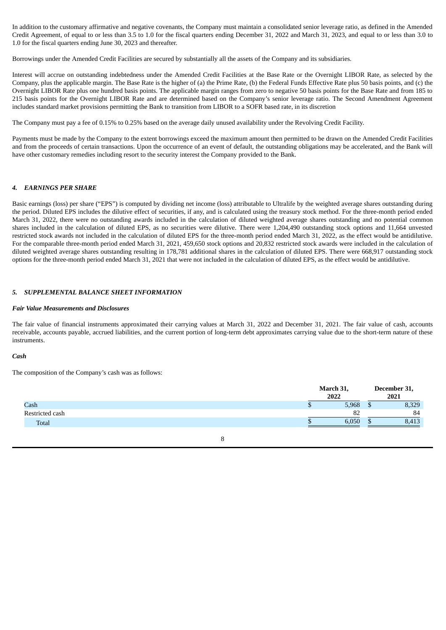In addition to the customary affirmative and negative covenants, the Company must maintain a consolidated senior leverage ratio, as defined in the Amended Credit Agreement, of equal to or less than 3.5 to 1.0 for the fiscal quarters ending December 31, 2022 and March 31, 2023, and equal to or less than 3.0 to 1.0 for the fiscal quarters ending June 30, 2023 and thereafter.

Borrowings under the Amended Credit Facilities are secured by substantially all the assets of the Company and its subsidiaries.

Interest will accrue on outstanding indebtedness under the Amended Credit Facilities at the Base Rate or the Overnight LIBOR Rate, as selected by the Company, plus the applicable margin. The Base Rate is the higher of (a) the Prime Rate, (b) the Federal Funds Effective Rate plus 50 basis points, and (c) the Overnight LIBOR Rate plus one hundred basis points. The applicable margin ranges from zero to negative 50 basis points for the Base Rate and from 185 to 215 basis points for the Overnight LIBOR Rate and are determined based on the Company's senior leverage ratio. The Second Amendment Agreement includes standard market provisions permitting the Bank to transition from LIBOR to a SOFR based rate, in its discretion

The Company must pay a fee of 0.15% to 0.25% based on the average daily unused availability under the Revolving Credit Facility.

Payments must be made by the Company to the extent borrowings exceed the maximum amount then permitted to be drawn on the Amended Credit Facilities and from the proceeds of certain transactions. Upon the occurrence of an event of default, the outstanding obligations may be accelerated, and the Bank will have other customary remedies including resort to the security interest the Company provided to the Bank.

### *4. EARNINGS PER SHARE*

Basic earnings (loss) per share ("EPS") is computed by dividing net income (loss) attributable to Ultralife by the weighted average shares outstanding during the period. Diluted EPS includes the dilutive effect of securities, if any, and is calculated using the treasury stock method. For the three-month period ended March 31, 2022, there were no outstanding awards included in the calculation of diluted weighted average shares outstanding and no potential common shares included in the calculation of diluted EPS, as no securities were dilutive. There were 1,204,490 outstanding stock options and 11,664 unvested restricted stock awards not included in the calculation of diluted EPS for the three-month period ended March 31, 2022, as the effect would be antidilutive. For the comparable three-month period ended March 31, 2021, 459,650 stock options and 20,832 restricted stock awards were included in the calculation of diluted weighted average shares outstanding resulting in 178,781 additional shares in the calculation of diluted EPS. There were 668,917 outstanding stock options for the three-month period ended March 31, 2021 that were not included in the calculation of diluted EPS, as the effect would be antidilutive.

### *5. SUPPLEMENTAL BALANCE SHEET INFORMATION*

#### *Fair Value Measurements and Disclosures*

The fair value of financial instruments approximated their carrying values at March 31, 2022 and December 31, 2021. The fair value of cash, accounts receivable, accounts payable, accrued liabilities, and the current portion of long-term debt approximates carrying value due to the short-term nature of these instruments.

#### *Cash*

The composition of the Company's cash was as follows:

| March 31,<br>2022 |       |  | December 31,<br>2021 |
|-------------------|-------|--|----------------------|
|                   | 5,968 |  | 8,329                |
|                   | 82    |  | 84                   |
|                   | 6,050 |  | 8,413                |
|                   |       |  |                      |

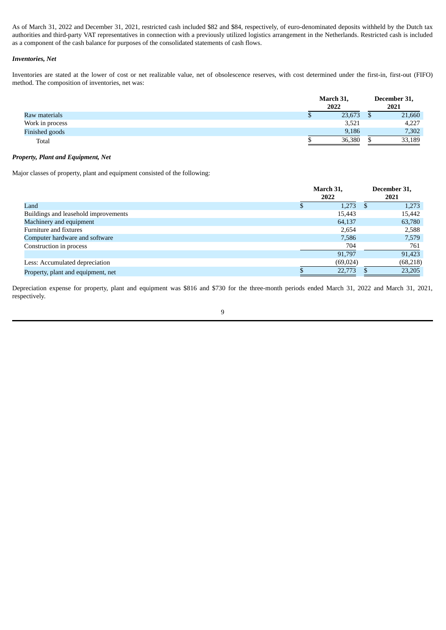As of March 31, 2022 and December 31, 2021, restricted cash included \$82 and \$84, respectively, of euro-denominated deposits withheld by the Dutch tax authorities and third-party VAT representatives in connection with a previously utilized logistics arrangement in the Netherlands. Restricted cash is included as a component of the cash balance for purposes of the consolidated statements of cash flows.

## *Inventories, Net*

Inventories are stated at the lower of cost or net realizable value, net of obsolescence reserves, with cost determined under the first-in, first-out (FIFO) method. The composition of inventories, net was:

|                 |   | March 31,<br>2022 | December 31,<br>2021 |        |  |
|-----------------|---|-------------------|----------------------|--------|--|
| Raw materials   | D | 23,673            |                      | 21,660 |  |
| Work in process |   | 3,521             |                      | 4,227  |  |
| Finished goods  |   | 9,186             |                      | 7,302  |  |
| Total           |   | 36,380            |                      | 33,189 |  |

### *Property, Plant and Equipment, Net*

Major classes of property, plant and equipment consisted of the following:

|                                      | March 31,<br>2022 | December 31,<br>2021 |
|--------------------------------------|-------------------|----------------------|
| Land                                 | 1,273             | 1,273                |
| Buildings and leasehold improvements | 15,443            | 15,442               |
| Machinery and equipment              | 64,137            | 63,780               |
| Furniture and fixtures               | 2,654             | 2,588                |
| Computer hardware and software       | 7,586             | 7,579                |
| Construction in process              | 704               | 761                  |
|                                      | 91.797            | 91,423               |
| Less: Accumulated depreciation       | (69, 024)         | (68, 218)            |
| Property, plant and equipment, net   | 22,773            | 23,205               |

Depreciation expense for property, plant and equipment was \$816 and \$730 for the three-month periods ended March 31, 2022 and March 31, 2021, respectively.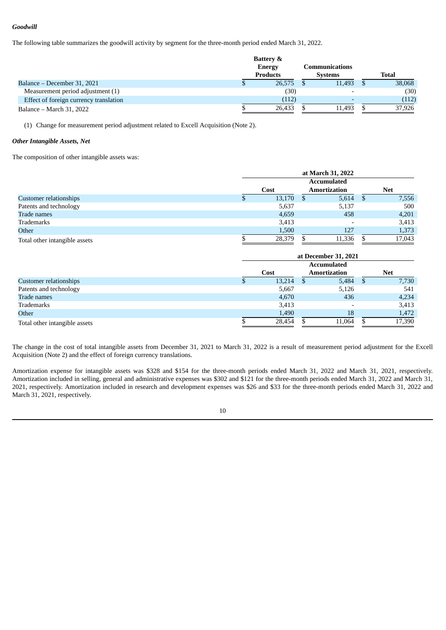### *Goodwill*

The following table summarizes the goodwill activity by segment for the three-month period ended March 31, 2022.

|                                        |    | <b>Battery &amp;</b> |                |              |
|----------------------------------------|----|----------------------|----------------|--------------|
|                                        |    | <b>Energy</b>        | Communications |              |
|                                        |    | <b>Products</b>      | <b>Systems</b> | <b>Total</b> |
| Balance – December 31, 2021            | ۰υ | 26,575               | 11,493         | 38,068       |
| Measurement period adjustment (1)      |    | (30)                 |                | (30)         |
| Effect of foreign currency translation |    | (112)                |                | (112)        |
| Balance – March 31, 2022               |    | 26,433               | 11,493         | 37,926       |

(1) Change for measurement period adjustment related to Excell Acquisition (Note 2).

## *Other Intangible Assets, Net*

The composition of other intangible assets was:

|                               | at March 31, 2022 |        |      |                          |    |            |  |  |
|-------------------------------|-------------------|--------|------|--------------------------|----|------------|--|--|
|                               |                   |        |      | <b>Accumulated</b>       |    |            |  |  |
|                               |                   | Cost   |      | <b>Amortization</b>      |    | <b>Net</b> |  |  |
| <b>Customer relationships</b> | D                 | 13,170 | - \$ | 5,614                    | -S | 7,556      |  |  |
| Patents and technology        |                   | 5,637  |      | 5,137                    |    | 500        |  |  |
| Trade names                   |                   | 4,659  |      | 458                      |    | 4,201      |  |  |
| Trademarks                    |                   | 3.413  |      | $\overline{\phantom{0}}$ |    | 3,413      |  |  |
| Other                         |                   | 1,500  |      | 127                      |    | 1,373      |  |  |
| Total other intangible assets |                   | 28,379 |      | 11,336                   |    | 17,043     |  |  |

|                               | at December 31, 2021 |  |                     |  |            |  |  |  |
|-------------------------------|----------------------|--|---------------------|--|------------|--|--|--|
|                               |                      |  | <b>Accumulated</b>  |  |            |  |  |  |
|                               | Cost                 |  | <b>Amortization</b> |  | <b>Net</b> |  |  |  |
| Customer relationships        | 13,214               |  | 5,484               |  | 7,730      |  |  |  |
| Patents and technology        | 5,667                |  | 5,126               |  | 541        |  |  |  |
| Trade names                   | 4,670                |  | 436                 |  | 4,234      |  |  |  |
| Trademarks                    | 3,413                |  |                     |  | 3,413      |  |  |  |
| Other                         | 1,490                |  | 18                  |  | 1,472      |  |  |  |
| Total other intangible assets | 28,454               |  | 11,064              |  | 17,390     |  |  |  |

The change in the cost of total intangible assets from December 31, 2021 to March 31, 2022 is a result of measurement period adjustment for the Excell Acquisition (Note 2) and the effect of foreign currency translations.

Amortization expense for intangible assets was \$328 and \$154 for the three-month periods ended March 31, 2022 and March 31, 2021, respectively. Amortization included in selling, general and administrative expenses was \$302 and \$121 for the three-month periods ended March 31, 2022 and March 31, 2021, respectively. Amortization included in research and development expenses was \$26 and \$33 for the three-month periods ended March 31, 2022 and March 31, 2021, respectively.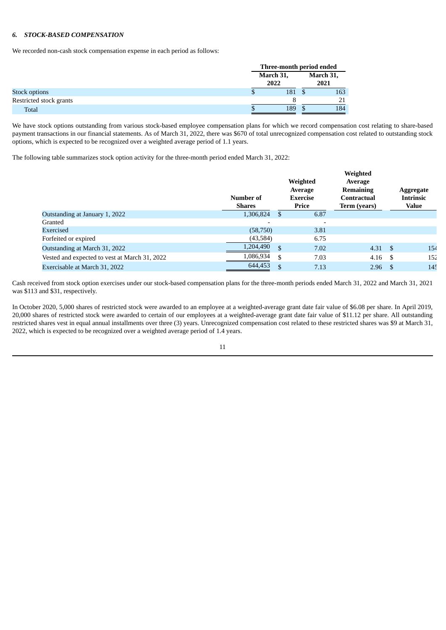### *6. STOCK-BASED COMPENSATION*

We recorded non-cash stock compensation expense in each period as follows:

|                         |                   | Three-month period ended |  |                   |  |  |  |
|-------------------------|-------------------|--------------------------|--|-------------------|--|--|--|
|                         | March 31,<br>2022 |                          |  | March 31,<br>2021 |  |  |  |
| <b>Stock options</b>    |                   | 181                      |  | 163               |  |  |  |
| Restricted stock grants |                   |                          |  |                   |  |  |  |
| Total                   |                   | 189                      |  | 184               |  |  |  |

We have stock options outstanding from various stock-based employee compensation plans for which we record compensation cost relating to share-based payment transactions in our financial statements. As of March 31, 2022, there was \$670 of total unrecognized compensation cost related to outstanding stock options, which is expected to be recognized over a weighted average period of 1.1 years.

The following table summarizes stock option activity for the three-month period ended March 31, 2022:

|                                               | Number of<br><b>Shares</b> |     | Weighted<br>Average<br><b>Exercise</b><br>Price | Weighted<br>Average<br>Remaining<br>Contractual<br>Term (years) |           | Aggregate<br><b>Intrinsic</b><br>Value |
|-----------------------------------------------|----------------------------|-----|-------------------------------------------------|-----------------------------------------------------------------|-----------|----------------------------------------|
| Outstanding at January 1, 2022                | 1,306,824                  |     | 6.87                                            |                                                                 |           |                                        |
| Granted                                       |                            |     |                                                 |                                                                 |           |                                        |
| Exercised                                     | (58,750)                   |     | 3.81                                            |                                                                 |           |                                        |
| Forfeited or expired                          | (43,584)                   |     | 6.75                                            |                                                                 |           |                                        |
| Outstanding at March 31, 2022                 | 1,204,490                  | \$. | 7.02                                            | 4.31                                                            | $\sim$ \$ | 154                                    |
| Vested and expected to vest at March 31, 2022 | 1,086,934                  | \$  | 7.03                                            | 4.16                                                            | - \$      | 152                                    |
| Exercisable at March 31, 2022                 | 644,453                    | \$  | 7.13                                            | 2.96                                                            | <b>S</b>  | 145                                    |

Cash received from stock option exercises under our stock-based compensation plans for the three-month periods ended March 31, 2022 and March 31, 2021 was \$113 and \$31, respectively.

In October 2020, 5,000 shares of restricted stock were awarded to an employee at a weighted-average grant date fair value of \$6.08 per share. In April 2019, 20,000 shares of restricted stock were awarded to certain of our employees at a weighted-average grant date fair value of \$11.12 per share. All outstanding restricted shares vest in equal annual installments over three (3) years. Unrecognized compensation cost related to these restricted shares was \$9 at March 31, 2022, which is expected to be recognized over a weighted average period of 1.4 years.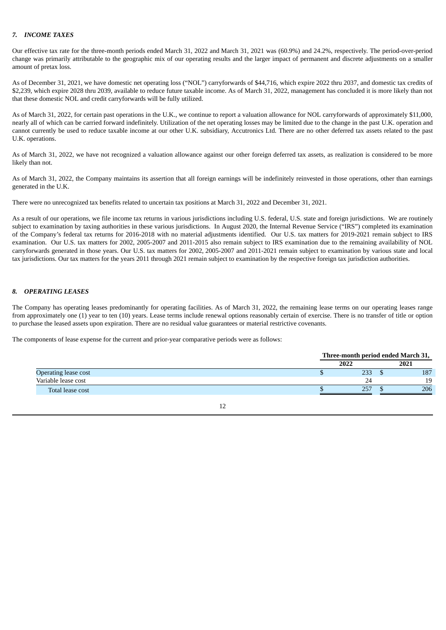### *7. INCOME TAXES*

Our effective tax rate for the three-month periods ended March 31, 2022 and March 31, 2021 was (60.9%) and 24.2%, respectively. The period-over-period change was primarily attributable to the geographic mix of our operating results and the larger impact of permanent and discrete adjustments on a smaller amount of pretax loss.

As of December 31, 2021, we have domestic net operating loss ("NOL") carryforwards of \$44,716, which expire 2022 thru 2037, and domestic tax credits of \$2,239, which expire 2028 thru 2039, available to reduce future taxable income. As of March 31, 2022, management has concluded it is more likely than not that these domestic NOL and credit carryforwards will be fully utilized.

As of March 31, 2022, for certain past operations in the U.K., we continue to report a valuation allowance for NOL carryforwards of approximately \$11,000, nearly all of which can be carried forward indefinitely. Utilization of the net operating losses may be limited due to the change in the past U.K. operation and cannot currently be used to reduce taxable income at our other U.K. subsidiary, Accutronics Ltd. There are no other deferred tax assets related to the past U.K. operations.

As of March 31, 2022, we have not recognized a valuation allowance against our other foreign deferred tax assets, as realization is considered to be more likely than not.

As of March 31, 2022, the Company maintains its assertion that all foreign earnings will be indefinitely reinvested in those operations, other than earnings generated in the U.K.

There were no unrecognized tax benefits related to uncertain tax positions at March 31, 2022 and December 31, 2021.

As a result of our operations, we file income tax returns in various jurisdictions including U.S. federal, U.S. state and foreign jurisdictions. We are routinely subject to examination by taxing authorities in these various jurisdictions. In August 2020, the Internal Revenue Service ("IRS") completed its examination of the Company's federal tax returns for 2016-2018 with no material adjustments identified. Our U.S. tax matters for 2019-2021 remain subject to IRS examination. Our U.S. tax matters for 2002, 2005-2007 and 2011-2015 also remain subject to IRS examination due to the remaining availability of NOL carryforwards generated in those years. Our U.S. tax matters for 2002, 2005-2007 and 2011-2021 remain subject to examination by various state and local tax jurisdictions. Our tax matters for the years 2011 through 2021 remain subject to examination by the respective foreign tax jurisdiction authorities.

### *8. OPERATING LEASES*

The Company has operating leases predominantly for operating facilities. As of March 31, 2022, the remaining lease terms on our operating leases range from approximately one (1) year to ten (10) years. Lease terms include renewal options reasonably certain of exercise. There is no transfer of title or option to purchase the leased assets upon expiration. There are no residual value guarantees or material restrictive covenants.

The components of lease expense for the current and prior-year comparative periods were as follows:

|                      | Three-month period ended March 31, |  |      |  |  |  |
|----------------------|------------------------------------|--|------|--|--|--|
|                      | 2022                               |  | 2021 |  |  |  |
| Operating lease cost | 233                                |  | 187  |  |  |  |
| Variable lease cost  | 24                                 |  | 19   |  |  |  |
| Total lease cost     | 257                                |  | 206  |  |  |  |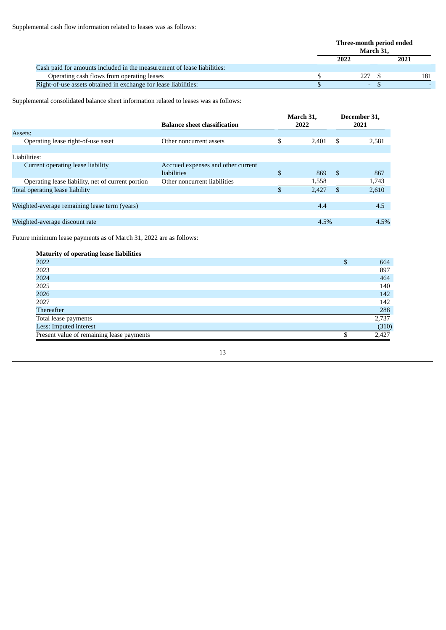|                                                                         | Three-month period ended | March 31. |      |
|-------------------------------------------------------------------------|--------------------------|-----------|------|
|                                                                         | 2022                     |           | 2021 |
| Cash paid for amounts included in the measurement of lease liabilities: |                          |           |      |
| Operating cash flows from operating leases                              | 227                      |           | 181  |
| Right-of-use assets obtained in exchange for lease liabilities:         |                          |           |      |

Supplemental consolidated balance sheet information related to leases was as follows:

|                                                   | <b>Balance sheet classification</b> | March 31.<br>2022 |       |      | December 31,<br>2021 |
|---------------------------------------------------|-------------------------------------|-------------------|-------|------|----------------------|
| Assets:                                           |                                     |                   |       |      |                      |
| Operating lease right-of-use asset                | Other noncurrent assets             | \$                | 2.401 | \$   | 2,581                |
|                                                   |                                     |                   |       |      |                      |
| Liabilities:                                      |                                     |                   |       |      |                      |
| Current operating lease liability                 | Accrued expenses and other current  |                   |       |      |                      |
|                                                   | <b>liabilities</b>                  | \$                | 869   | - \$ | 867                  |
| Operating lease liability, net of current portion | Other noncurrent liabilities        |                   | 1,558 |      | 1,743                |
| Total operating lease liability                   |                                     | \$                | 2,427 | \$.  | 2,610                |
|                                                   |                                     |                   |       |      |                      |
| Weighted-average remaining lease term (years)     |                                     |                   | 4.4   |      | 4.5                  |
|                                                   |                                     |                   |       |      |                      |
| Weighted-average discount rate                    |                                     |                   | 4.5%  |      | 4.5%                 |
|                                                   |                                     |                   |       |      |                      |

Future minimum lease payments as of March 31, 2022 are as follows:

| <b>Maturity of operating lease liabilities</b> |   |       |
|------------------------------------------------|---|-------|
| 2022                                           | D | 664   |
| 2023                                           |   | 897   |
| 2024                                           |   | 464   |
| 2025                                           |   | 140   |
| 2026                                           |   | 142   |
| 2027                                           |   | 142   |
| Thereafter                                     |   | 288   |
| Total lease payments                           |   | 2,737 |
| Less: Imputed interest                         |   | (310) |
| Present value of remaining lease payments      |   | 2.427 |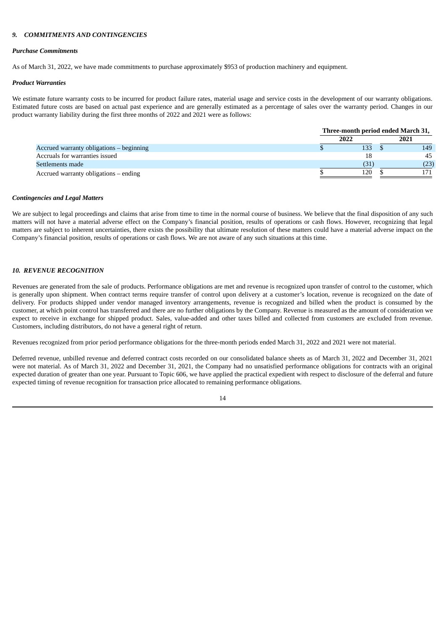### *9. COMMITMENTS AND CONTINGENCIES*

#### *Purchase Commitments*

As of March 31, 2022, we have made commitments to purchase approximately \$953 of production machinery and equipment.

#### *Product Warranties*

We estimate future warranty costs to be incurred for product failure rates, material usage and service costs in the development of our warranty obligations. Estimated future costs are based on actual past experience and are generally estimated as a percentage of sales over the warranty period. Changes in our product warranty liability during the first three months of 2022 and 2021 were as follows:

|                                          | Three-month period ended March 31, |  |      |  |  |  |
|------------------------------------------|------------------------------------|--|------|--|--|--|
|                                          | 2022                               |  | 2021 |  |  |  |
| Accrued warranty obligations – beginning | 133                                |  | 149  |  |  |  |
| Accruals for warranties issued           | 18                                 |  | 45   |  |  |  |
| Settlements made                         | (31)                               |  | (23) |  |  |  |
| Accrued warranty obligations – ending    | 120                                |  |      |  |  |  |

#### *Contingencies and Legal Matters*

We are subject to legal proceedings and claims that arise from time to time in the normal course of business. We believe that the final disposition of any such matters will not have a material adverse effect on the Company's financial position, results of operations or cash flows. However, recognizing that legal matters are subject to inherent uncertainties, there exists the possibility that ultimate resolution of these matters could have a material adverse impact on the Company's financial position, results of operations or cash flows. We are not aware of any such situations at this time.

#### *10. REVENUE RECOGNITION*

Revenues are generated from the sale of products. Performance obligations are met and revenue is recognized upon transfer of control to the customer, which is generally upon shipment. When contract terms require transfer of control upon delivery at a customer's location, revenue is recognized on the date of delivery. For products shipped under vendor managed inventory arrangements, revenue is recognized and billed when the product is consumed by the customer, at which point control has transferred and there are no further obligations by the Company. Revenue is measured as the amount of consideration we expect to receive in exchange for shipped product. Sales, value-added and other taxes billed and collected from customers are excluded from revenue. Customers, including distributors, do not have a general right of return.

Revenues recognized from prior period performance obligations for the three-month periods ended March 31, 2022 and 2021 were not material.

Deferred revenue, unbilled revenue and deferred contract costs recorded on our consolidated balance sheets as of March 31, 2022 and December 31, 2021 were not material. As of March 31, 2022 and December 31, 2021, the Company had no unsatisfied performance obligations for contracts with an original expected duration of greater than one year. Pursuant to Topic 606, we have applied the practical expedient with respect to disclosure of the deferral and future expected timing of revenue recognition for transaction price allocated to remaining performance obligations.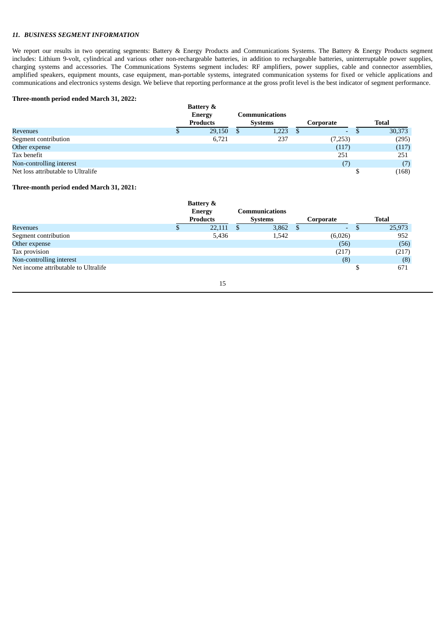### *11. BUSINESS SEGMENT INFORMATION*

We report our results in two operating segments: Battery & Energy Products and Communications Systems. The Battery & Energy Products segment includes: Lithium 9-volt, cylindrical and various other non-rechargeable batteries, in addition to rechargeable batteries, uninterruptable power supplies, charging systems and accessories. The Communications Systems segment includes: RF amplifiers, power supplies, cable and connector assemblies, amplified speakers, equipment mounts, case equipment, man-portable systems, integrated communication systems for fixed or vehicle applications and communications and electronics systems design. We believe that reporting performance at the gross profit level is the best indicator of segment performance.

#### **Three-month period ended March 31, 2022:**

|                                    | <b>Battery &amp;</b><br>Energy<br><b>Products</b> |   | <b>Communications</b><br><b>Systems</b> | Corporate |    | <b>Total</b> |
|------------------------------------|---------------------------------------------------|---|-----------------------------------------|-----------|----|--------------|
| Revenues                           | 29,150                                            | S | 1,223                                   | $\sim$    |    | 30,373       |
| Segment contribution               | 6,721                                             |   | 237                                     | (7,253)   |    | (295)        |
| Other expense                      |                                                   |   |                                         | (117)     |    | (117)        |
| Tax benefit                        |                                                   |   |                                         | 251       |    | 251          |
| Non-controlling interest           |                                                   |   |                                         | (7)       |    | (7)          |
| Net loss attributable to Ultralife |                                                   |   |                                         |           | ل⊡ | (168)        |

**Three-month period ended March 31, 2021:**

|                                      | <b>Battery &amp;</b> |              |                       |    |           |              |
|--------------------------------------|----------------------|--------------|-----------------------|----|-----------|--------------|
|                                      | <b>Energy</b>        |              | <b>Communications</b> |    |           |              |
|                                      | <b>Products</b>      |              | <b>Systems</b>        |    | Corporate | <b>Total</b> |
| <b>Revenues</b>                      | 22,111               | <sup>3</sup> | 3,862                 | .D | ۰.        | 25,973       |
| Segment contribution                 | 5,436                |              | 1,542                 |    | (6,026)   | 952          |
| Other expense                        |                      |              |                       |    | (56)      | (56)         |
| Tax provision                        |                      |              |                       |    | (217)     | (217)        |
| Non-controlling interest             |                      |              |                       |    | (8)       | (8)          |
| Net income attributable to Ultralife |                      |              |                       |    |           | 671          |
|                                      |                      |              |                       |    |           |              |
|                                      | 15                   |              |                       |    |           |              |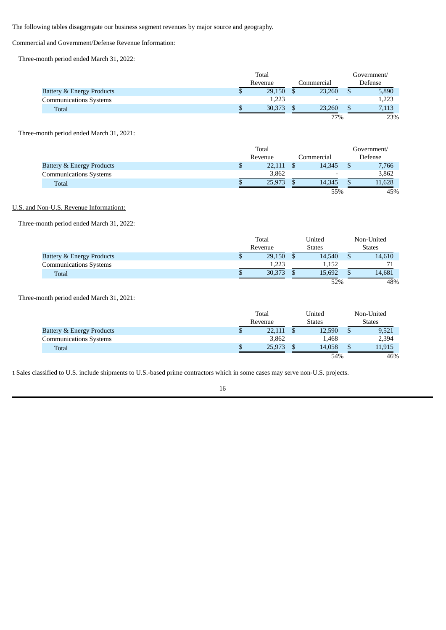The following tables disaggregate our business segment revenues by major source and geography.

# Commercial and Government/Defense Revenue Information:

Three-month period ended March 31, 2022:

|                               |    | Total   |                          | Government/ |
|-------------------------------|----|---------|--------------------------|-------------|
|                               |    | Revenue | Commercial               | Defense     |
| Battery & Energy Products     | لا | 29,150  | 23,260                   | 5,890       |
| <b>Communications Systems</b> |    | 1,223   | $\overline{\phantom{0}}$ | 1,223       |
| Total                         |    | 30,373  | 23,260                   | 7,113       |
|                               |    |         | 77%                      | 23%         |

Three-month period ended March 31, 2021:

|                               | Total   |                          | Government/ |
|-------------------------------|---------|--------------------------|-------------|
|                               | Revenue | Commercial               | Defense     |
| Battery & Energy Products     | 22,111  | 14,345                   | 7,766       |
| <b>Communications Systems</b> | 3,862   | $\overline{\phantom{0}}$ | 3,862       |
| Total                         | 25,973  | 14.345                   | 11,628      |
|                               |         | 55%                      | 45%         |

### U.S. and Non-U.S. Revenue Information1:

Three-month period ended March 31, 2022:

|                               | Total   |  | United        |  | Non-United    |  |
|-------------------------------|---------|--|---------------|--|---------------|--|
|                               | Revenue |  | <b>States</b> |  | <b>States</b> |  |
| Battery & Energy Products     | 29,150  |  | 14,540        |  | 14,610        |  |
| <b>Communications Systems</b> | 1.223   |  | 1.152         |  | 71            |  |
| <b>Total</b>                  | 30.373  |  | 15.692        |  | 14,681        |  |
|                               |         |  | 52%           |  | 48%           |  |

Three-month period ended March 31, 2021:

|                               |   | Total   | United        | Non-United    |
|-------------------------------|---|---------|---------------|---------------|
|                               |   | Revenue | <b>States</b> | <b>States</b> |
| Battery & Energy Products     | Φ | 22,111  | 12,590        | 9,521         |
| <b>Communications Systems</b> |   | 3,862   | 1.468         | 2,394         |
| Total                         |   | 25,973  | 14,058        | 11,915        |
|                               |   |         | 54%           | 46%           |

1 Sales classified to U.S. include shipments to U.S.-based prime contractors which in some cases may serve non-U.S. projects.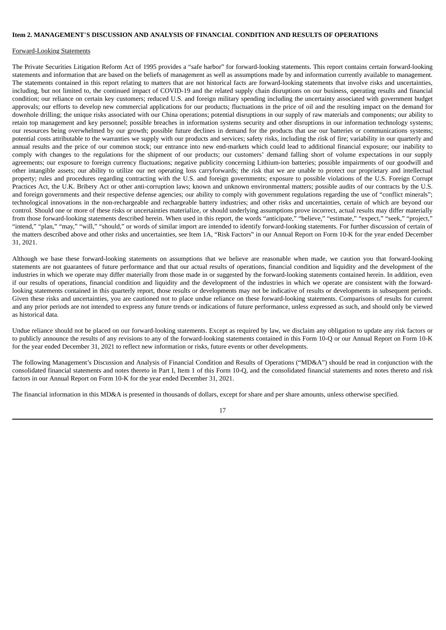#### **Item 2. MANAGEMENT**'**S DISCUSSION AND ANALYSIS OF FINANCIAL CONDITION AND RESULTS OF OPERATIONS**

#### Forward-Looking Statements

The Private Securities Litigation Reform Act of 1995 provides a "safe harbor" for forward-looking statements. This report contains certain forward-looking statements and information that are based on the beliefs of management as well as assumptions made by and information currently available to management. The statements contained in this report relating to matters that are not historical facts are forward-looking statements that involve risks and uncertainties, including, but not limited to, the continued impact of COVID-19 and the related supply chain disruptions on our business, operating results and financial condition; our reliance on certain key customers; reduced U.S. and foreign military spending including the uncertainty associated with government budget approvals; our efforts to develop new commercial applications for our products; fluctuations in the price of oil and the resulting impact on the demand for downhole drilling; the unique risks associated with our China operations; potential disruptions in our supply of raw materials and components; our ability to retain top management and key personnel; possible breaches in information systems security and other disruptions in our information technology systems; our resources being overwhelmed by our growth; possible future declines in demand for the products that use our batteries or communications systems; potential costs attributable to the warranties we supply with our products and services; safety risks, including the risk of fire; variability in our quarterly and annual results and the price of our common stock; our entrance into new end-markets which could lead to additional financial exposure; our inability to comply with changes to the regulations for the shipment of our products; our customers' demand falling short of volume expectations in our supply agreements; our exposure to foreign currency fluctuations; negative publicity concerning Lithium-ion batteries; possible impairments of our goodwill and other intangible assets; our ability to utilize our net operating loss carryforwards; the risk that we are unable to protect our proprietary and intellectual property; rules and procedures regarding contracting with the U.S. and foreign governments; exposure to possible violations of the U.S. Foreign Corrupt Practices Act, the U.K. Bribery Act or other anti-corruption laws; known and unknown environmental matters; possible audits of our contracts by the U.S. and foreign governments and their respective defense agencies; our ability to comply with government regulations regarding the use of "conflict minerals"; technological innovations in the non-rechargeable and rechargeable battery industries; and other risks and uncertainties, certain of which are beyond our control. Should one or more of these risks or uncertainties materialize, or should underlying assumptions prove incorrect, actual results may differ materially from those forward-looking statements described herein. When used in this report, the words "anticipate," "believe," "estimate," "expect," "seek," "project," "intend," "plan," "may," "will," "should," or words of similar import are intended to identify forward-looking statements. For further discussion of certain of the matters described above and other risks and uncertainties, see Item 1A, "Risk Factors" in our Annual Report on Form 10-K for the year ended December 31, 2021.

Although we base these forward-looking statements on assumptions that we believe are reasonable when made, we caution you that forward-looking statements are not guarantees of future performance and that our actual results of operations, financial condition and liquidity and the development of the industries in which we operate may differ materially from those made in or suggested by the forward-looking statements contained herein. In addition, even if our results of operations, financial condition and liquidity and the development of the industries in which we operate are consistent with the forwardlooking statements contained in this quarterly report, those results or developments may not be indicative of results or developments in subsequent periods. Given these risks and uncertainties, you are cautioned not to place undue reliance on these forward-looking statements. Comparisons of results for current and any prior periods are not intended to express any future trends or indications of future performance, unless expressed as such, and should only be viewed as historical data.

Undue reliance should not be placed on our forward-looking statements. Except as required by law, we disclaim any obligation to update any risk factors or to publicly announce the results of any revisions to any of the forward-looking statements contained in this Form 10-Q or our Annual Report on Form 10-K for the year ended December 31, 2021 to reflect new information or risks, future events or other developments.

The following Management's Discussion and Analysis of Financial Condition and Results of Operations ("MD&A") should be read in conjunction with the consolidated financial statements and notes thereto in Part I, Item 1 of this Form 10-Q, and the consolidated financial statements and notes thereto and risk factors in our Annual Report on Form 10-K for the year ended December 31, 2021.

The financial information in this MD&A is presented in thousands of dollars, except for share and per share amounts, unless otherwise specified.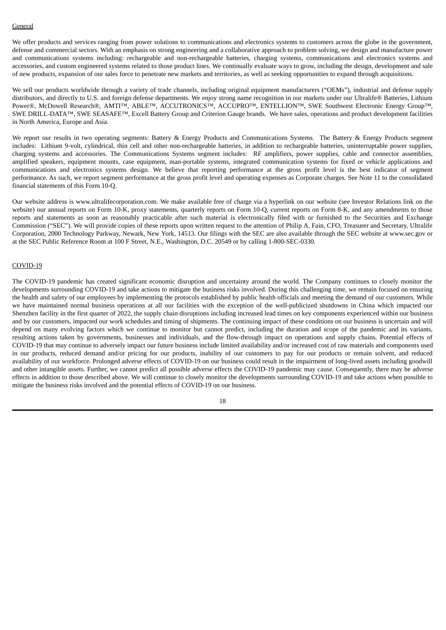### **General**

We offer products and services ranging from power solutions to communications and electronics systems to customers across the globe in the government, defense and commercial sectors. With an emphasis on strong engineering and a collaborative approach to problem solving, we design and manufacture power and communications systems including: rechargeable and non-rechargeable batteries, charging systems, communications and electronics systems and accessories, and custom engineered systems related to those product lines. We continually evaluate ways to grow, including the design, development and sale of new products, expansion of our sales force to penetrate new markets and territories, as well as seeking opportunities to expand through acquisitions.

We sell our products worldwide through a variety of trade channels, including original equipment manufacturers ("OEMs"), industrial and defense supply distributors, and directly to U.S. and foreign defense departments. We enjoy strong name recognition in our markets under our Ultralife® Batteries, Lithium Power®, McDowell Research®, AMTI™, ABLE™, ACCUTRONICS™, ACCUPRO™, ENTELLION™, SWE Southwest Electronic Energy Group™, SWE DRILL-DATA™, SWE SEASAFE™, Excell Battery Group and Criterion Gauge brands. We have sales, operations and product development facilities in North America, Europe and Asia.

We report our results in two operating segments: Battery & Energy Products and Communications Systems. The Battery & Energy Products segment includes: Lithium 9-volt, cylindrical, thin cell and other non-rechargeable batteries, in addition to rechargeable batteries, uninterruptable power supplies, charging systems and accessories. The Communications Systems segment includes: RF amplifiers, power supplies, cable and connector assemblies, amplified speakers, equipment mounts, case equipment, man-portable systems, integrated communication systems for fixed or vehicle applications and communications and electronics systems design. We believe that reporting performance at the gross profit level is the best indicator of segment performance. As such, we report segment performance at the gross profit level and operating expenses as Corporate charges. See Note 11 to the consolidated financial statements of this Form 10-Q.

Our website address is www.ultralifecorporation.com. We make available free of charge via a hyperlink on our website (see Investor Relations link on the website) our annual reports on Form 10-K, proxy statements, quarterly reports on Form 10-Q, current reports on Form 8-K, and any amendments to those reports and statements as soon as reasonably practicable after such material is electronically filed with or furnished to the Securities and Exchange Commission ("SEC"). We will provide copies of these reports upon written request to the attention of Philip A. Fain, CFO, Treasurer and Secretary, Ultralife Corporation, 2000 Technology Parkway, Newark, New York, 14513. Our filings with the SEC are also available through the SEC website at www.sec.gov or at the SEC Public Reference Room at 100 F Street, N.E., Washington, D.C. 20549 or by calling 1-800-SEC-0330.

### COVID-19

The COVID-19 pandemic has created significant economic disruption and uncertainty around the world. The Company continues to closely monitor the developments surrounding COVID-19 and take actions to mitigate the business risks involved. During this challenging time, we remain focused on ensuring the health and safety of our employees by implementing the protocols established by public health officials and meeting the demand of our customers. While we have maintained normal business operations at all our facilities with the exception of the well-publicized shutdowns in China which impacted our Shenzhen facility in the first quarter of 2022, the supply chain disruptions including increased lead times on key components experienced within our business and by our customers, impacted our work schedules and timing of shipments. The continuing impact of these conditions on our business is uncertain and will depend on many evolving factors which we continue to monitor but cannot predict, including the duration and scope of the pandemic and its variants, resulting actions taken by governments, businesses and individuals, and the flow-through impact on operations and supply chains. Potential effects of COVID-19 that may continue to adversely impact our future business include limited availability and/or increased cost of raw materials and components used in our products, reduced demand and/or pricing for our products, inability of our customers to pay for our products or remain solvent, and reduced availability of our workforce. Prolonged adverse effects of COVID-19 on our business could result in the impairment of long-lived assets including goodwill and other intangible assets. Further, we cannot predict all possible adverse effects the COVID-19 pandemic may cause. Consequently, there may be adverse effects in addition to those described above. We will continue to closely monitor the developments surrounding COVID-19 and take actions when possible to mitigate the business risks involved and the potential effects of COVID-19 on our business.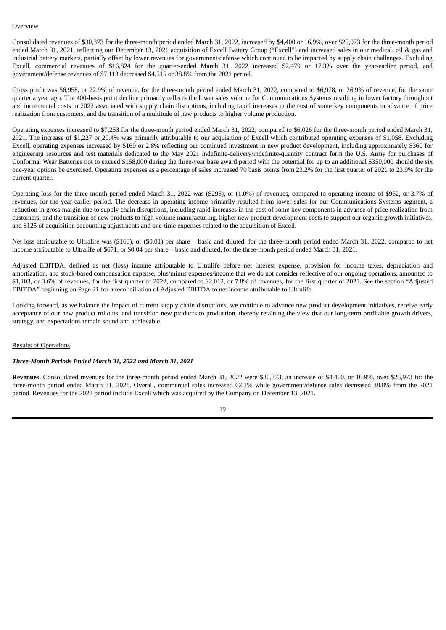#### **Overview**

Consolidated revenues of \$30,373 for the three-month period ended March 31, 2022, increased by \$4,400 or 16.9%, over \$25,973 for the three-month period ended March 31, 2021, reflecting our December 13, 2021 acquisition of Excell Battery Group ("Excell") and increased sales in our medical, oil & gas and industrial battery markets, partially offset by lower revenues for government/defense which continued to be impacted by supply chain challenges. Excluding Excell, commercial revenues of \$16,824 for the quarter-ended March 31, 2022 increased \$2,479 or 17.3% over the year-earlier period, and government/defense revenues of \$7,113 decreased \$4,515 or 38.8% from the 2021 period.

Gross profit was \$6,958, or 22.9% of revenue, for the three-month period ended March 31, 2022, compared to \$6,978, or 26.9% of revenue, for the same quarter a year ago. The 400-basis point decline primarily reflects the lower sales volume for Communications Systems resulting in lower factory throughput and incremental costs in 2022 associated with supply chain disruptions, including rapid increases in the cost of some key components in advance of price realization from customers, and the transition of a multitude of new products to higher volume production.

Operating expenses increased to \$7,253 for the three-month period ended March 31, 2022, compared to \$6,026 for the three-month period ended March 31, 2021. The increase of \$1,227 or 20.4% was primarily attributable to our acquisition of Excell which contributed operating expenses of \$1,058. Excluding Excell, operating expenses increased by \$169 or 2.8% reflecting our continued investment in new product development, including approximately \$360 for engineering resources and test materials dedicated to the May 2021 indefinite-delivery/indefinite-quantity contract form the U.S. Army for purchases of Conformal Wear Batteries not to exceed \$168,000 during the three-year base award period with the potential for up to an additional \$350,000 should the six one-year options be exercised. Operating expenses as a percentage of sales increased 70 basis points from 23.2% for the first quarter of 2021 to 23.9% for the current quarter.

Operating loss for the three-month period ended March 31, 2022 was (\$295), or (1.0%) of revenues, compared to operating income of \$952, or 3.7% of revenues, for the year-earlier period. The decrease in operating income primarily resulted from lower sales for our Communications Systems segment, a reduction in gross margin due to supply chain disruptions, including rapid increases in the cost of some key components in advance of price realization from customers, and the transition of new products to high volume manufacturing, higher new product development costs to support our organic growth initiatives, and \$125 of acquisition accounting adjustments and one-time expenses related to the acquisition of Excell.

Net loss attributable to Ultralife was (\$168), or (\$0.01) per share – basic and diluted, for the three-month period ended March 31, 2022, compared to net income attributable to Ultralife of \$671, or \$0.04 per share – basic and diluted, for the three-month period ended March 31, 2021.

Adjusted EBITDA, defined as net (loss) income attributable to Ultralife before net interest expense, provision for income taxes, depreciation and amortization, and stock-based compensation expense, plus/minus expenses/income that we do not consider reflective of our ongoing operations, amounted to \$1,103, or 3.6% of revenues, for the first quarter of 2022, compared to \$2,012, or 7.8% of revenues, for the first quarter of 2021. See the section "Adjusted EBITDA" beginning on Page 21 for a reconciliation of Adjusted EBITDA to net income attributable to Ultralife.

Looking forward, as we balance the impact of current supply chain disruptions, we continue to advance new product development initiatives, receive early acceptance of our new product rollouts, and transition new products to production, thereby retaining the view that our long-term profitable growth drivers, strategy, and expectations remain sound and achievable.

### Results of Operations

#### *Three-Month Periods Ended March 31, 2022 and March 31, 2021*

**Revenues.** Consolidated revenues for the three-month period ended March 31, 2022 were \$30,373, an increase of \$4,400, or 16.9%, over \$25,973 for the three-month period ended March 31, 2021. Overall, commercial sales increased 62.1% while government/defense sales decreased 38.8% from the 2021 period. Revenues for the 2022 period include Excell which was acquired by the Company on December 13, 2021.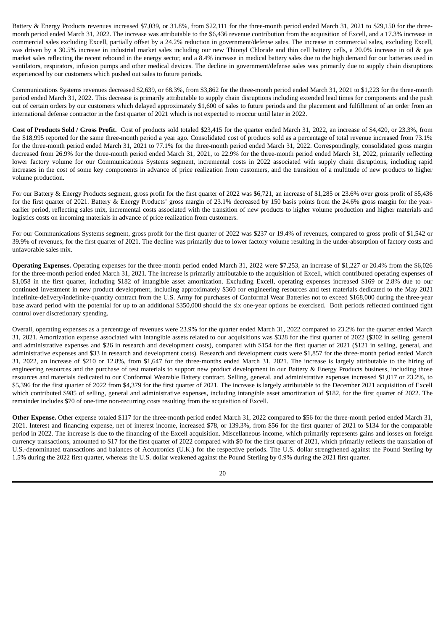Battery & Energy Products revenues increased \$7,039, or 31.8%, from \$22,111 for the three-month period ended March 31, 2021 to \$29,150 for the threemonth period ended March 31, 2022. The increase was attributable to the \$6,436 revenue contribution from the acquisition of Excell, and a 17.3% increase in commercial sales excluding Excell, partially offset by a 24.2% reduction in government/defense sales. The increase in commercial sales, excluding Excell, was driven by a 30.5% increase in industrial market sales including our new Thionyl Chloride and thin cell battery cells, a 20.0% increase in oil & gas market sales reflecting the recent rebound in the energy sector, and a 8.4% increase in medical battery sales due to the high demand for our batteries used in ventilators, respirators, infusion pumps and other medical devices. The decline in government/defense sales was primarily due to supply chain disruptions experienced by our customers which pushed out sales to future periods.

Communications Systems revenues decreased \$2,639, or 68.3%, from \$3,862 for the three-month period ended March 31, 2021 to \$1,223 for the three-month period ended March 31, 2022. This decrease is primarily attributable to supply chain disruptions including extended lead times for components and the push out of certain orders by our customers which delayed approximately \$1,600 of sales to future periods and the placement and fulfillment of an order from an international defense contractor in the first quarter of 2021 which is not expected to reoccur until later in 2022.

**Cost of Products Sold / Gross Profit.** Cost of products sold totaled \$23,415 for the quarter ended March 31, 2022, an increase of \$4,420, or 23.3%, from the \$18,995 reported for the same three-month period a year ago. Consolidated cost of products sold as a percentage of total revenue increased from 73.1% for the three-month period ended March 31, 2021 to 77.1% for the three-month period ended March 31, 2022. Correspondingly, consolidated gross margin decreased from 26.9% for the three-month period ended March 31, 2021, to 22.9% for the three-month period ended March 31, 2022, primarily reflecting lower factory volume for our Communications Systems segment, incremental costs in 2022 associated with supply chain disruptions, including rapid increases in the cost of some key components in advance of price realization from customers, and the transition of a multitude of new products to higher volume production.

For our Battery & Energy Products segment, gross profit for the first quarter of 2022 was \$6,721, an increase of \$1,285 or 23.6% over gross profit of \$5,436 for the first quarter of 2021. Battery & Energy Products' gross margin of 23.1% decreased by 150 basis points from the 24.6% gross margin for the yearearlier period, reflecting sales mix, incremental costs associated with the transition of new products to higher volume production and higher materials and logistics costs on incoming materials in advance of price realization from customers.

For our Communications Systems segment, gross profit for the first quarter of 2022 was \$237 or 19.4% of revenues, compared to gross profit of \$1,542 or 39.9% of revenues, for the first quarter of 2021. The decline was primarily due to lower factory volume resulting in the under-absorption of factory costs and unfavorable sales mix.

**Operating Expenses.** Operating expenses for the three-month period ended March 31, 2022 were \$7,253, an increase of \$1,227 or 20.4% from the \$6,026 for the three-month period ended March 31, 2021. The increase is primarily attributable to the acquisition of Excell, which contributed operating expenses of \$1,058 in the first quarter, including \$182 of intangible asset amortization. Excluding Excell, operating expenses increased \$169 or 2.8% due to our continued investment in new product development, including approximately \$360 for engineering resources and test materials dedicated to the May 2021 indefinite-delivery/indefinite-quantity contract from the U.S. Army for purchases of Conformal Wear Batteries not to exceed \$168,000 during the three-year base award period with the potential for up to an additional \$350,000 should the six one-year options be exercised. Both periods reflected continued tight control over discretionary spending.

Overall, operating expenses as a percentage of revenues were 23.9% for the quarter ended March 31, 2022 compared to 23.2% for the quarter ended March 31, 2021. Amortization expense associated with intangible assets related to our acquisitions was \$328 for the first quarter of 2022 (\$302 in selling, general and administrative expenses and \$26 in research and development costs), compared with \$154 for the first quarter of 2021 (\$121 in selling, general, and administrative expenses and \$33 in research and development costs). Research and development costs were \$1,857 for the three-month period ended March 31, 2022, an increase of \$210 or 12.8%, from \$1,647 for the three-months ended March 31, 2021. The increase is largely attributable to the hiring of engineering resources and the purchase of test materials to support new product development in our Battery & Energy Products business, including those resources and materials dedicated to our Conformal Wearable Battery contract. Selling, general, and administrative expenses increased \$1,017 or 23.2%, to \$5,396 for the first quarter of 2022 from \$4,379 for the first quarter of 2021. The increase is largely attributable to the December 2021 acquisition of Excell which contributed \$985 of selling, general and administrative expenses, including intangible asset amortization of \$182, for the first quarter of 2022. The remainder includes \$70 of one-time non-recurring costs resulting from the acquisition of Excell.

**Other Expense.** Other expense totaled \$117 for the three-month period ended March 31, 2022 compared to \$56 for the three-month period ended March 31, 2021. Interest and financing expense, net of interest income, increased \$78, or 139.3%, from \$56 for the first quarter of 2021 to \$134 for the comparable period in 2022. The increase is due to the financing of the Excell acquisition. Miscellaneous income, which primarily represents gains and losses on foreign currency transactions, amounted to \$17 for the first quarter of 2022 compared with \$0 for the first quarter of 2021, which primarily reflects the translation of U.S.-denominated transactions and balances of Accutronics (U.K.) for the respective periods. The U.S. dollar strengthened against the Pound Sterling by 1.5% during the 2022 first quarter, whereas the U.S. dollar weakened against the Pound Sterling by 0.9% during the 2021 first quarter.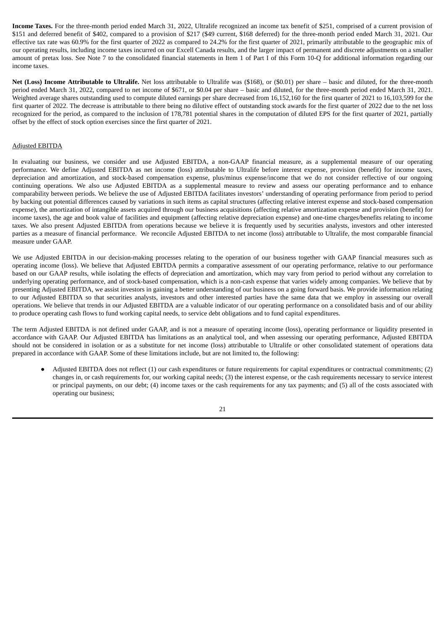**Income Taxes.** For the three-month period ended March 31, 2022, Ultralife recognized an income tax benefit of \$251, comprised of a current provision of \$151 and deferred benefit of \$402, compared to a provision of \$217 (\$49 current, \$168 deferred) for the three-month period ended March 31, 2021. Our effective tax rate was 60.9% for the first quarter of 2022 as compared to 24.2% for the first quarter of 2021, primarily attributable to the geographic mix of our operating results, including income taxes incurred on our Excell Canada results, and the larger impact of permanent and discrete adjustments on a smaller amount of pretax loss. See Note 7 to the consolidated financial statements in Item 1 of Part I of this Form 10-Q for additional information regarding our income taxes.

**Net (Loss) Income Attributable to Ultralife.** Net loss attributable to Ultralife was (\$168), or (\$0.01) per share – basic and diluted, for the three-month period ended March 31, 2022, compared to net income of \$671, or \$0.04 per share – basic and diluted, for the three-month period ended March 31, 2021. Weighted average shares outstanding used to compute diluted earnings per share decreased from 16,152,160 for the first quarter of 2021 to 16,103,599 for the first quarter of 2022. The decrease is attributable to there being no dilutive effect of outstanding stock awards for the first quarter of 2022 due to the net loss recognized for the period, as compared to the inclusion of 178,781 potential shares in the computation of diluted EPS for the first quarter of 2021, partially offset by the effect of stock option exercises since the first quarter of 2021.

### Adjusted EBITDA

In evaluating our business, we consider and use Adjusted EBITDA, a non-GAAP financial measure, as a supplemental measure of our operating performance. We define Adjusted EBITDA as net income (loss) attributable to Ultralife before interest expense, provision (benefit) for income taxes, depreciation and amortization, and stock-based compensation expense, plus/minus expense/income that we do not consider reflective of our ongoing continuing operations. We also use Adjusted EBITDA as a supplemental measure to review and assess our operating performance and to enhance comparability between periods. We believe the use of Adjusted EBITDA facilitates investors' understanding of operating performance from period to period by backing out potential differences caused by variations in such items as capital structures (affecting relative interest expense and stock-based compensation expense), the amortization of intangible assets acquired through our business acquisitions (affecting relative amortization expense and provision (benefit) for income taxes), the age and book value of facilities and equipment (affecting relative depreciation expense) and one-time charges/benefits relating to income taxes. We also present Adjusted EBITDA from operations because we believe it is frequently used by securities analysts, investors and other interested parties as a measure of financial performance. We reconcile Adjusted EBITDA to net income (loss) attributable to Ultralife, the most comparable financial measure under GAAP.

We use Adjusted EBITDA in our decision-making processes relating to the operation of our business together with GAAP financial measures such as operating income (loss). We believe that Adjusted EBITDA permits a comparative assessment of our operating performance, relative to our performance based on our GAAP results, while isolating the effects of depreciation and amortization, which may vary from period to period without any correlation to underlying operating performance, and of stock-based compensation, which is a non-cash expense that varies widely among companies. We believe that by presenting Adjusted EBITDA, we assist investors in gaining a better understanding of our business on a going forward basis. We provide information relating to our Adjusted EBITDA so that securities analysts, investors and other interested parties have the same data that we employ in assessing our overall operations. We believe that trends in our Adjusted EBITDA are a valuable indicator of our operating performance on a consolidated basis and of our ability to produce operating cash flows to fund working capital needs, to service debt obligations and to fund capital expenditures.

The term Adjusted EBITDA is not defined under GAAP, and is not a measure of operating income (loss), operating performance or liquidity presented in accordance with GAAP. Our Adjusted EBITDA has limitations as an analytical tool, and when assessing our operating performance, Adjusted EBITDA should not be considered in isolation or as a substitute for net income (loss) attributable to Ultralife or other consolidated statement of operations data prepared in accordance with GAAP. Some of these limitations include, but are not limited to, the following:

● Adjusted EBITDA does not reflect (1) our cash expenditures or future requirements for capital expenditures or contractual commitments; (2) changes in, or cash requirements for, our working capital needs; (3) the interest expense, or the cash requirements necessary to service interest or principal payments, on our debt; (4) income taxes or the cash requirements for any tax payments; and (5) all of the costs associated with operating our business;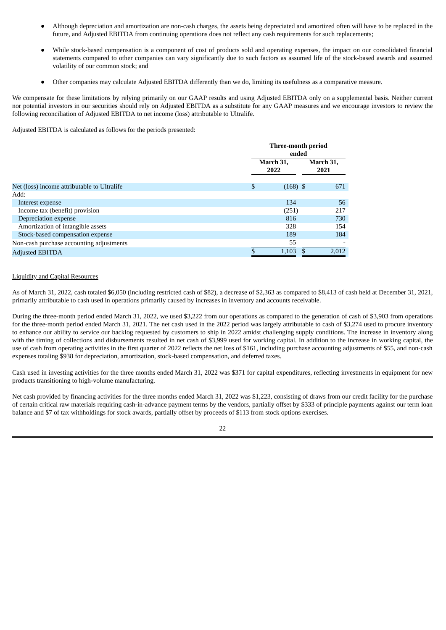- Although depreciation and amortization are non-cash charges, the assets being depreciated and amortized often will have to be replaced in the future, and Adjusted EBITDA from continuing operations does not reflect any cash requirements for such replacements;
- While stock-based compensation is a component of cost of products sold and operating expenses, the impact on our consolidated financial statements compared to other companies can vary significantly due to such factors as assumed life of the stock-based awards and assumed volatility of our common stock; and
- Other companies may calculate Adjusted EBITDA differently than we do, limiting its usefulness as a comparative measure.

We compensate for these limitations by relying primarily on our GAAP results and using Adjusted EBITDA only on a supplemental basis. Neither current nor potential investors in our securities should rely on Adjusted EBITDA as a substitute for any GAAP measures and we encourage investors to review the following reconciliation of Adjusted EBITDA to net income (loss) attributable to Ultralife.

Adjusted EBITDA is calculated as follows for the periods presented:

|                                             |                   | Three-month period<br>ended |                   |  |
|---------------------------------------------|-------------------|-----------------------------|-------------------|--|
|                                             | March 31.<br>2022 |                             | March 31.<br>2021 |  |
| Net (loss) income attributable to Ultralife | \$                | $(168)$ \$                  | 671               |  |
| Add:                                        |                   |                             |                   |  |
| Interest expense                            |                   | 134                         | 56                |  |
| Income tax (benefit) provision              |                   | (251)                       | 217               |  |
| Depreciation expense                        |                   | 816                         | 730               |  |
| Amortization of intangible assets           |                   | 328                         | 154               |  |
| Stock-based compensation expense            |                   | 189                         | 184               |  |
| Non-cash purchase accounting adjustments    |                   | 55                          |                   |  |
| <b>Adjusted EBITDA</b>                      |                   | 1,103                       | 2,012             |  |

### Liquidity and Capital Resources

As of March 31, 2022, cash totaled \$6,050 (including restricted cash of \$82), a decrease of \$2,363 as compared to \$8,413 of cash held at December 31, 2021, primarily attributable to cash used in operations primarily caused by increases in inventory and accounts receivable.

During the three-month period ended March 31, 2022, we used \$3,222 from our operations as compared to the generation of cash of \$3,903 from operations for the three-month period ended March 31, 2021. The net cash used in the 2022 period was largely attributable to cash of \$3,274 used to procure inventory to enhance our ability to service our backlog requested by customers to ship in 2022 amidst challenging supply conditions. The increase in inventory along with the timing of collections and disbursements resulted in net cash of \$3,999 used for working capital. In addition to the increase in working capital, the use of cash from operating activities in the first quarter of 2022 reflects the net loss of \$161, including purchase accounting adjustments of \$55, and non-cash expenses totaling \$938 for depreciation, amortization, stock-based compensation, and deferred taxes.

Cash used in investing activities for the three months ended March 31, 2022 was \$371 for capital expenditures, reflecting investments in equipment for new products transitioning to high-volume manufacturing.

Net cash provided by financing activities for the three months ended March 31, 2022 was \$1,223, consisting of draws from our credit facility for the purchase of certain critical raw materials requiring cash-in-advance payment terms by the vendors, partially offset by \$333 of principle payments against our term loan balance and \$7 of tax withholdings for stock awards, partially offset by proceeds of \$113 from stock options exercises.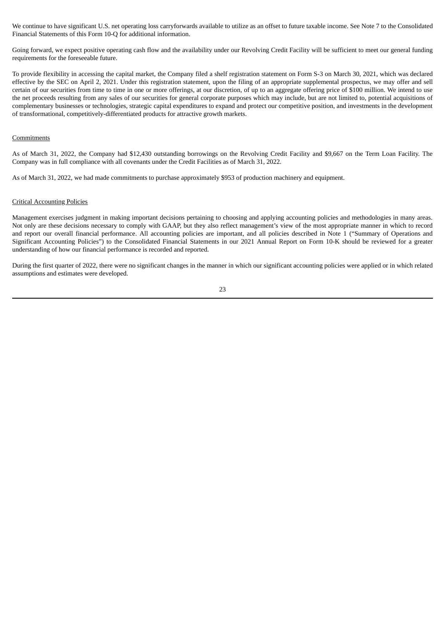We continue to have significant U.S. net operating loss carryforwards available to utilize as an offset to future taxable income. See Note 7 to the Consolidated Financial Statements of this Form 10-Q for additional information.

Going forward, we expect positive operating cash flow and the availability under our Revolving Credit Facility will be sufficient to meet our general funding requirements for the foreseeable future.

To provide flexibility in accessing the capital market, the Company filed a shelf registration statement on Form S-3 on March 30, 2021, which was declared effective by the SEC on April 2, 2021. Under this registration statement, upon the filing of an appropriate supplemental prospectus, we may offer and sell certain of our securities from time to time in one or more offerings, at our discretion, of up to an aggregate offering price of \$100 million. We intend to use the net proceeds resulting from any sales of our securities for general corporate purposes which may include, but are not limited to, potential acquisitions of complementary businesses or technologies, strategic capital expenditures to expand and protect our competitive position, and investments in the development of transformational, competitively-differentiated products for attractive growth markets.

#### Commitments

As of March 31, 2022, the Company had \$12,430 outstanding borrowings on the Revolving Credit Facility and \$9,667 on the Term Loan Facility. The Company was in full compliance with all covenants under the Credit Facilities as of March 31, 2022.

As of March 31, 2022, we had made commitments to purchase approximately \$953 of production machinery and equipment.

#### Critical Accounting Policies

Management exercises judgment in making important decisions pertaining to choosing and applying accounting policies and methodologies in many areas. Not only are these decisions necessary to comply with GAAP, but they also reflect management's view of the most appropriate manner in which to record and report our overall financial performance. All accounting policies are important, and all policies described in Note 1 ("Summary of Operations and Significant Accounting Policies") to the Consolidated Financial Statements in our 2021 Annual Report on Form 10-K should be reviewed for a greater understanding of how our financial performance is recorded and reported.

During the first quarter of 2022, there were no significant changes in the manner in which our significant accounting policies were applied or in which related assumptions and estimates were developed.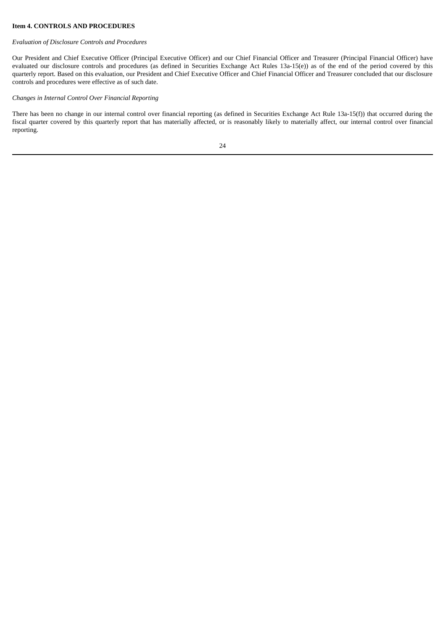# **Item 4. CONTROLS AND PROCEDURES**

#### *Evaluation of Disclosure Controls and Procedures*

Our President and Chief Executive Officer (Principal Executive Officer) and our Chief Financial Officer and Treasurer (Principal Financial Officer) have evaluated our disclosure controls and procedures (as defined in Securities Exchange Act Rules 13a-15(e)) as of the end of the period covered by this quarterly report. Based on this evaluation, our President and Chief Executive Officer and Chief Financial Officer and Treasurer concluded that our disclosure controls and procedures were effective as of such date.

### *Changes in Internal Control Over Financial Reporting*

There has been no change in our internal control over financial reporting (as defined in Securities Exchange Act Rule 13a-15(f)) that occurred during the fiscal quarter covered by this quarterly report that has materially affected, or is reasonably likely to materially affect, our internal control over financial reporting.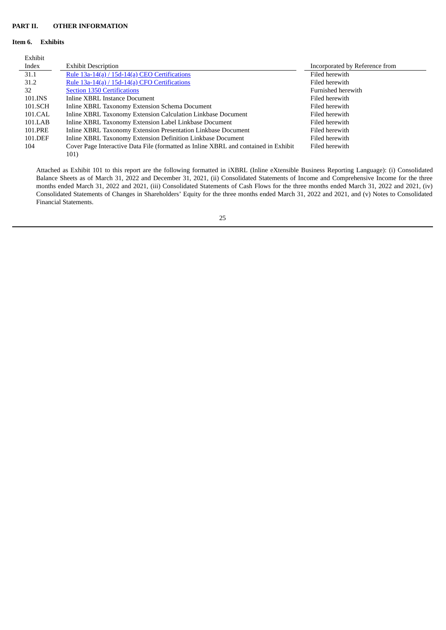### **PART II. OTHER INFORMATION**

#### **Item 6. Exhibits**

| Exhibit |                                                                                     |                                |
|---------|-------------------------------------------------------------------------------------|--------------------------------|
| Index   | <b>Exhibit Description</b>                                                          | Incorporated by Reference from |
| 31.1    | Rule 13a-14(a) / 15d-14(a) CEO Certifications                                       | Filed herewith                 |
| 31.2    | Rule 13a-14(a) / 15d-14(a) CFO Certifications                                       | Filed herewith                 |
| 32      | <b>Section 1350 Certifications</b>                                                  | Furnished herewith             |
| 101.INS | Inline XBRL Instance Document                                                       | Filed herewith                 |
| 101.SCH | Inline XBRL Taxonomy Extension Schema Document                                      | Filed herewith                 |
| 101.CAL | Inline XBRL Taxonomy Extension Calculation Linkbase Document                        | Filed herewith                 |
| 101.LAB | Inline XBRL Taxonomy Extension Label Linkbase Document                              | Filed herewith                 |
| 101.PRE | Inline XBRL Taxonomy Extension Presentation Linkbase Document                       | Filed herewith                 |
| 101.DEF | Inline XBRL Taxonomy Extension Definition Linkbase Document                         | Filed herewith                 |
| 104     | Cover Page Interactive Data File (formatted as Inline XBRL and contained in Exhibit | Filed herewith                 |
|         | 101)                                                                                |                                |

Attached as Exhibit 101 to this report are the following formatted in iXBRL (Inline eXtensible Business Reporting Language): (i) Consolidated Balance Sheets as of March 31, 2022 and December 31, 2021, (ii) Consolidated Statements of Income and Comprehensive Income for the three months ended March 31, 2022 and 2021, (iii) Consolidated Statements of Cash Flows for the three months ended March 31, 2022 and 2021, (iv) Consolidated Statements of Changes in Shareholders' Equity for the three months ended March 31, 2022 and 2021, and (v) Notes to Consolidated Financial Statements.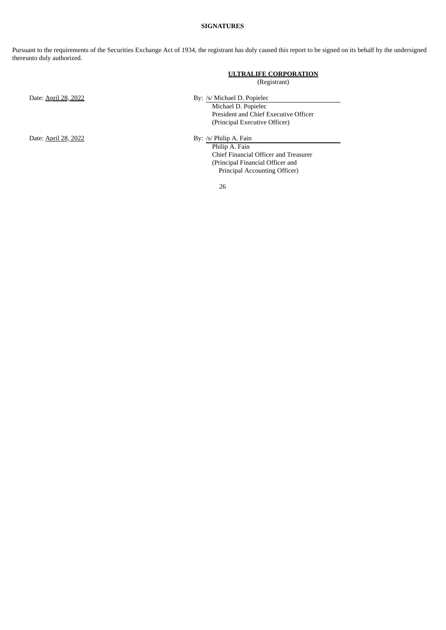### **SIGNATURES**

Pursuant to the requirements of the Securities Exchange Act of 1934, the registrant has duly caused this report to be signed on its behalf by the undersigned thereunto duly authorized.

# **ULTRALIFE CORPORATION**

(Registrant)

Date: April 28, 2022 By: /s/ Michael D. Popielec

Michael D. Popielec President and Chief Executive Officer (Principal Executive Officer)

Date: April 28, 2022 By: /s/ Philip A. Fain

Philip A. Fain Chief Financial Officer and Treasurer (Principal Financial Officer and Principal Accounting Officer)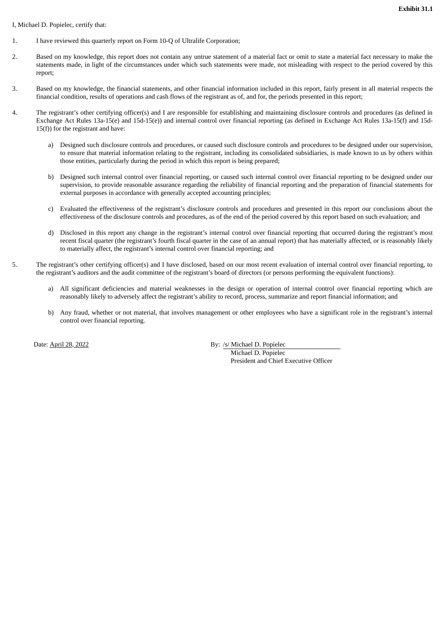<span id="page-28-0"></span>I, Michael D. Popielec, certify that:

- 1. I have reviewed this quarterly report on Form 10-Q of Ultralife Corporation;
- 2. Based on my knowledge, this report does not contain any untrue statement of a material fact or omit to state a material fact necessary to make the statements made, in light of the circumstances under which such statements were made, not misleading with respect to the period covered by this report;
- 3. Based on my knowledge, the financial statements, and other financial information included in this report, fairly present in all material respects the financial condition, results of operations and cash flows of the registrant as of, and for, the periods presented in this report;
- 4. The registrant's other certifying officer(s) and I are responsible for establishing and maintaining disclosure controls and procedures (as defined in Exchange Act Rules 13a-15(e) and 15d-15(e)) and internal control over financial reporting (as defined in Exchange Act Rules 13a-15(f) and 15d-15(f)) for the registrant and have:
	- a) Designed such disclosure controls and procedures, or caused such disclosure controls and procedures to be designed under our supervision, to ensure that material information relating to the registrant, including its consolidated subsidiaries, is made known to us by others within those entities, particularly during the period in which this report is being prepared;
	- b) Designed such internal control over financial reporting, or caused such internal control over financial reporting to be designed under our supervision, to provide reasonable assurance regarding the reliability of financial reporting and the preparation of financial statements for external purposes in accordance with generally accepted accounting principles;
	- c) Evaluated the effectiveness of the registrant's disclosure controls and procedures and presented in this report our conclusions about the effectiveness of the disclosure controls and procedures, as of the end of the period covered by this report based on such evaluation; and
	- d) Disclosed in this report any change in the registrant's internal control over financial reporting that occurred during the registrant's most recent fiscal quarter (the registrant's fourth fiscal quarter in the case of an annual report) that has materially affected, or is reasonably likely to materially affect, the registrant's internal control over financial reporting; and
- 5. The registrant's other certifying officer(s) and I have disclosed, based on our most recent evaluation of internal control over financial reporting, to the registrant's auditors and the audit committee of the registrant's board of directors (or persons performing the equivalent functions):
	- a) All significant deficiencies and material weaknesses in the design or operation of internal control over financial reporting which are reasonably likely to adversely affect the registrant's ability to record, process, summarize and report financial information; and
	- b) Any fraud, whether or not material, that involves management or other employees who have a significant role in the registrant's internal control over financial reporting.

Date: April 28, 2022 By: /s/ Michael D. Popielec

Michael D. Popielec President and Chief Executive Officer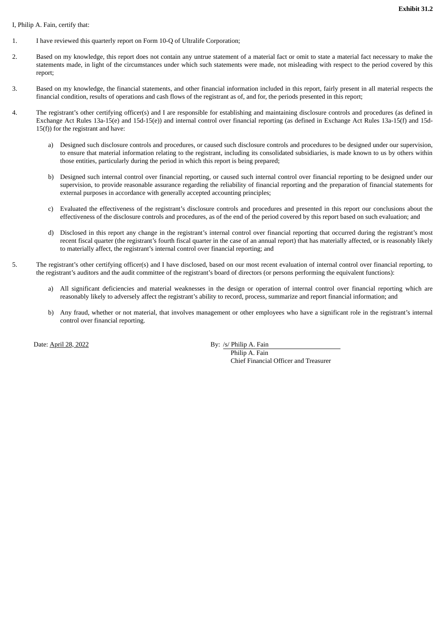### <span id="page-29-0"></span>I, Philip A. Fain, certify that:

- 1. I have reviewed this quarterly report on Form 10-Q of Ultralife Corporation;
- 2. Based on my knowledge, this report does not contain any untrue statement of a material fact or omit to state a material fact necessary to make the statements made, in light of the circumstances under which such statements were made, not misleading with respect to the period covered by this report;
- 3. Based on my knowledge, the financial statements, and other financial information included in this report, fairly present in all material respects the financial condition, results of operations and cash flows of the registrant as of, and for, the periods presented in this report;
- 4. The registrant's other certifying officer(s) and I are responsible for establishing and maintaining disclosure controls and procedures (as defined in Exchange Act Rules 13a-15(e) and 15d-15(e)) and internal control over financial reporting (as defined in Exchange Act Rules 13a-15(f) and 15d-15(f)) for the registrant and have:
	- a) Designed such disclosure controls and procedures, or caused such disclosure controls and procedures to be designed under our supervision, to ensure that material information relating to the registrant, including its consolidated subsidiaries, is made known to us by others within those entities, particularly during the period in which this report is being prepared;
	- b) Designed such internal control over financial reporting, or caused such internal control over financial reporting to be designed under our supervision, to provide reasonable assurance regarding the reliability of financial reporting and the preparation of financial statements for external purposes in accordance with generally accepted accounting principles;
	- c) Evaluated the effectiveness of the registrant's disclosure controls and procedures and presented in this report our conclusions about the effectiveness of the disclosure controls and procedures, as of the end of the period covered by this report based on such evaluation; and
	- d) Disclosed in this report any change in the registrant's internal control over financial reporting that occurred during the registrant's most recent fiscal quarter (the registrant's fourth fiscal quarter in the case of an annual report) that has materially affected, or is reasonably likely to materially affect, the registrant's internal control over financial reporting; and
- 5. The registrant's other certifying officer(s) and I have disclosed, based on our most recent evaluation of internal control over financial reporting, to the registrant's auditors and the audit committee of the registrant's board of directors (or persons performing the equivalent functions):
	- a) All significant deficiencies and material weaknesses in the design or operation of internal control over financial reporting which are reasonably likely to adversely affect the registrant's ability to record, process, summarize and report financial information; and
	- b) Any fraud, whether or not material, that involves management or other employees who have a significant role in the registrant's internal control over financial reporting.

Date: April 28, 2022 By: /s/ Philip A. Fain

Philip A. Fain

Chief Financial Officer and Treasurer